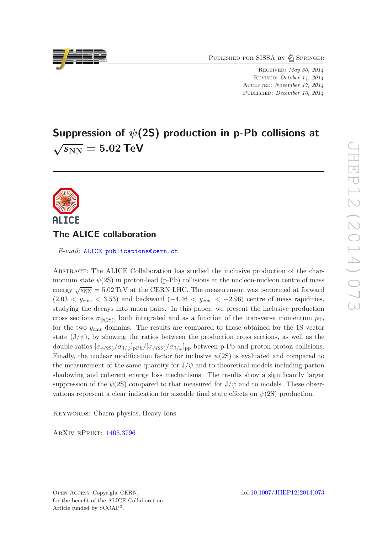PUBLISHED FOR SISSA BY 2 SPRINGER

Received: *May 30, 2014* Revised: *October 14, 2014* Accepted: *November 17, 2014* Published: *December 10, 2014*

# Suppression of  $\psi$ (2S) production in p-Pb collisions at  $\sqrt{s_\mathrm{NN}}=5.02$  TeV



## The ALICE collaboration

E-mail: [ALICE-publications@cern.ch](mailto:ALICE-publications@cern.ch)

Abstract: The ALICE Collaboration has studied the inclusive production of the charmonium state  $\psi(2S)$  in proton-lead (p-Pb) collisions at the nucleon-nucleon centre of mass energy  $\sqrt{s_{NN}} = 5.02 \,\text{TeV}$  at the CERN LHC. The measurement was performed at forward  $(2.03 < y_{\rm cms} < 3.53)$  and backward  $(-4.46 < y_{\rm cms} < -2.96)$  centre of mass rapidities, studying the decays into muon pairs. In this paper, we present the inclusive production cross sections  $\sigma_{\psi(2S)}$ , both integrated and as a function of the transverse momentum  $p_T$ , for the two  $y_{\rm cms}$  domains. The results are compared to those obtained for the 1S vector state  $(J/\psi)$ , by showing the ratios between the production cross sections, as well as the double ratios  $[\sigma_{\psi(2S)}/\sigma_{J/\psi}]_{\text{pPb}}/[\sigma_{\psi(2S)}/\sigma_{J/\psi}]_{\text{pp}}$  between p-Pb and proton-proton collisions. Finally, the nuclear modification factor for inclusive  $\psi(2S)$  is evaluated and compared to the measurement of the same quantity for  $J/\psi$  and to theoretical models including parton shadowing and coherent energy loss mechanisms. The results show a significantly larger suppression of the  $\psi(2S)$  compared to that measured for  $J/\psi$  and to models. These observations represent a clear indication for sizeable final state effects on  $\psi(2S)$  production.

KEYWORDS: Charm physics, Heavy Ions

ArXiv ePrint: [1405.3796](http://arxiv.org/abs/1405.3796)

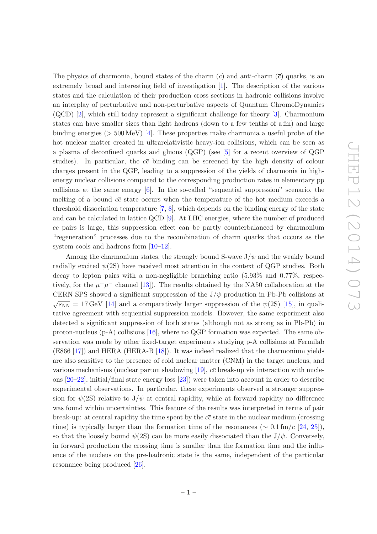The physics of charmonia, bound states of the charm  $(c)$  and anti-charm  $(\bar{c})$  quarks, is an extremely broad and interesting field of investigation [\[1\]](#page-14-0). The description of the various states and the calculation of their production cross sections in hadronic collisions involve an interplay of perturbative and non-perturbative aspects of Quantum ChromoDynamics (QCD) [\[2\]](#page-14-1), which still today represent a significant challenge for theory [\[3](#page-14-2)]. Charmonium states can have smaller sizes than light hadrons (down to a few tenths of a fm) and large binding energies ( $> 500 \,\text{MeV}$ ) [\[4\]](#page-14-3). These properties make charmonia a useful probe of the hot nuclear matter created in ultrarelativistic heavy-ion collisions, which can be seen as a plasma of deconfined quarks and gluons (QGP) (see [\[5](#page-14-4)] for a recent overview of QGP studies). In particular, the  $c\bar{c}$  binding can be screened by the high density of colour charges present in the QGP, leading to a suppression of the yields of charmonia in highenergy nuclear collisions compared to the corresponding production rates in elementary pp collisions at the same energy  $[6]$ . In the so-called "sequential suppression" scenario, the melting of a bound  $c\bar{c}$  state occurs when the temperature of the hot medium exceeds a threshold dissociation temperature [\[7,](#page-14-6) [8](#page-14-7)], which depends on the binding energy of the state and can be calculated in lattice QCD [\[9\]](#page-14-8). At LHC energies, where the number of produced  $c\bar{c}$  pairs is large, this suppression effect can be partly counterbalanced by charmonium "regeneration" processes due to the recombination of charm quarks that occurs as the system cools and hadrons form  $[10-12]$ .

Among the charmonium states, the strongly bound S-wave  $J/\psi$  and the weakly bound radially excited  $\psi(2S)$  have received most attention in the context of QGP studies. Both decay to lepton pairs with a non-negligible branching ratio (5.93% and 0.77%, respectively, for the  $\mu^+\mu^-$  channel [\[13\]](#page-15-1)). The results obtained by the NA50 collaboration at the CERN SPS showed a significant suppression of the  $J/\psi$  production in Pb-Pb collisions at  $\sqrt{s_{NN}} = 17 \,\text{GeV}$  [\[14\]](#page-15-2) and a comparatively larger suppression of the  $\psi(2S)$  [\[15\]](#page-15-3), in qualitative agreement with sequential suppression models. However, the same experiment also detected a significant suppression of both states (although not as strong as in Pb-Pb) in proton-nucleus  $(p-A)$  collisions [\[16\]](#page-15-4), where no QGP formation was expected. The same observation was made by other fixed-target experiments studying p-A collisions at Fermilab (E866 [\[17\]](#page-15-5)) and HERA (HERA-B [\[18\]](#page-15-6)). It was indeed realized that the charmonium yields are also sensitive to the presence of cold nuclear matter (CNM) in the target nucleus, and various mechanisms (nuclear parton shadowing [\[19\]](#page-15-7),  $c\bar{c}$  break-up via interaction with nucleons [\[20](#page-15-8)[–22\]](#page-15-9), initial/final state energy loss [\[23](#page-15-10)]) were taken into account in order to describe experimental observations. In particular, these experiments observed a stronger suppression for  $\psi(2S)$  relative to  $J/\psi$  at central rapidity, while at forward rapidity no difference was found within uncertainties. This feature of the results was interpreted in terms of pair break-up: at central rapidity the time spent by the  $c\bar{c}$  state in the nuclear medium (crossing time) is typically larger than the formation time of the resonances ( $\sim 0.1 \text{ fm}/c$  [\[24](#page-15-11), [25\]](#page-15-12)), so that the loosely bound  $\psi(2S)$  can be more easily dissociated than the J/ $\psi$ . Conversely, in forward production the crossing time is smaller than the formation time and the influence of the nucleus on the pre-hadronic state is the same, independent of the particular resonance being produced [\[26](#page-15-13)].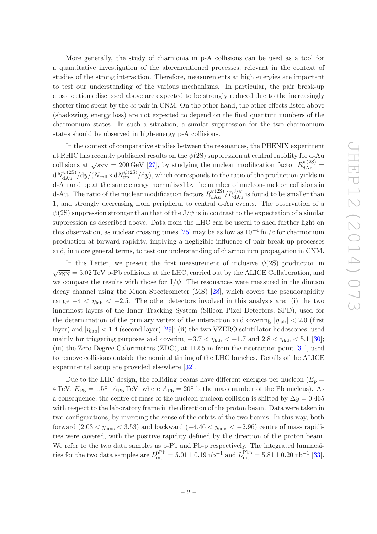More generally, the study of charmonia in p-A collisions can be used as a tool for a quantitative investigation of the aforementioned processes, relevant in the context of studies of the strong interaction. Therefore, measurements at high energies are important to test our understanding of the various mechanisms. In particular, the pair break-up cross sections discussed above are expected to be strongly reduced due to the increasingly shorter time spent by the  $c\bar{c}$  pair in CNM. On the other hand, the other effects listed above (shadowing, energy loss) are not expected to depend on the final quantum numbers of the charmonium states. In such a situation, a similar suppression for the two charmonium states should be observed in high-energy p-A collisions.

In the context of comparative studies between the resonances, the PHENIX experiment at RHIC has recently published results on the  $\psi(2S)$  suppression at central rapidity for d-Au collisions at  $\sqrt{s_{NN}} = 200 \,\text{GeV}$  [\[27](#page-15-14)], by studying the nuclear modification factor  $R_{\text{dAu}}^{\psi(2S)}$  =  $dN_{\rm dAu}^{\psi(2S)}/dy/(N_{\rm coll} \times dN_{\rm pp}^{\psi(2S)}/dy)$ , which corresponds to the ratio of the production yields in d-Au and pp at the same energy, normalized by the number of nucleon-nucleon collisions in d-Au. The ratio of the nuclear modification factors  $R_{\text{dAu}}^{\psi(2S)}/R_{\text{dAu}}^{J/\psi}$  is found to be smaller than 1, and strongly decreasing from peripheral to central d-Au events. The observation of a  $\psi(2S)$  suppression stronger than that of the  $J/\psi$  is in contrast to the expectation of a similar suppression as described above. Data from the LHC can be useful to shed further light on this observation, as nuclear crossing times [\[25](#page-15-12)] may be as low as  $10^{-4}$  fm/c for charmonium production at forward rapidity, implying a negligible influence of pair break-up processes and, in more general terms, to test our understanding of charmonium propagation in CNM.

In this Letter, we present the first measurement of inclusive  $\psi(2S)$  production in  $\sqrt{s_{NN}}$  = 5.02 TeV p-Pb collisions at the LHC, carried out by the ALICE Collaboration, and we compare the results with those for  $J/\psi$ . The resonances were measured in the dimuon decay channel using the Muon Spectrometer (MS) [\[28](#page-15-15)], which covers the pseudorapidity range  $-4 < \eta_{\text{lab}} < -2.5$ . The other detectors involved in this analysis are: (i) the two innermost layers of the Inner Tracking System (Silicon Pixel Detectors, SPD), used for the determination of the primary vertex of the interaction and covering  $|\eta_{\rm lab}| < 2.0$  (first layer) and  $|\eta_{\rm lab}| < 1.4$  (second layer) [\[29](#page-16-0)]; (ii) the two VZERO scintillator hodoscopes, used mainly for triggering purposes and covering  $-3.7 < \eta_{\text{lab}} < -1.7$  and  $2.8 < \eta_{\text{lab}} < 5.1$  [\[30\]](#page-16-1); (iii) the Zero Degree Calorimeters (ZDC), at 112.5 m from the interaction point [\[31](#page-16-2)], used to remove collisions outside the nominal timing of the LHC bunches. Details of the ALICE experimental setup are provided elsewhere [\[32](#page-16-3)].

Due to the LHC design, the colliding beams have different energies per nucleon  $(E_{\rm p} =$  $4 \text{ TeV}, E_{\text{Pb}} = 1.58 \cdot A_{\text{Pb}} \text{ TeV}, \text{ where } A_{\text{Pb}} = 208 \text{ is the mass number of the Pb nucleus}.$  As a consequence, the centre of mass of the nucleon-nucleon collision is shifted by  $\Delta y = 0.465$ with respect to the laboratory frame in the direction of the proton beam. Data were taken in two configurations, by inverting the sense of the orbits of the two beams. In this way, both forward  $(2.03 < y_{\rm cms} < 3.53)$  and backward  $(-4.46 < y_{\rm cms} < -2.96)$  centre of mass rapidities were covered, with the positive rapidity defined by the direction of the proton beam. We refer to the two data samples as p-Pb and Pb-p respectively. The integrated luminosities for the two data samples are  $L_{\text{int}}^{\text{pPb}} = 5.01 \pm 0.19 \text{ nb}^{-1}$  and  $L_{\text{int}}^{\text{Pbp}} = 5.81 \pm 0.20 \text{ nb}^{-1}$  [\[33\]](#page-16-4).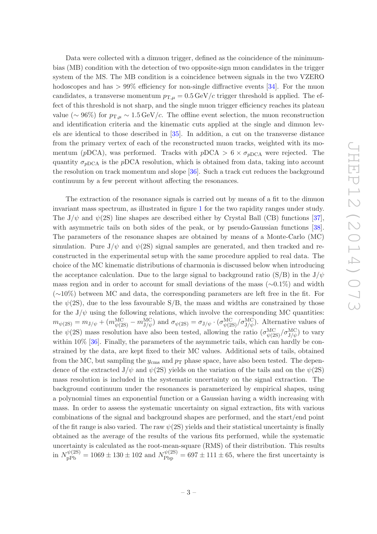Data were collected with a dimuon trigger, defined as the coincidence of the minimumbias (MB) condition with the detection of two opposite-sign muon candidates in the trigger system of the MS. The MB condition is a coincidence between signals in the two VZERO hodoscopes and has  $> 99\%$  efficiency for non-single diffractive events [\[34](#page-16-5)]. For the muon candidates, a transverse momentum  $p_{T,\mu} = 0.5 \,\text{GeV}/c$  trigger threshold is applied. The effect of this threshold is not sharp, and the single muon trigger efficiency reaches its plateau value ( $\sim 96\%$ ) for  $p_{\rm T,\mu} \sim 1.5 \,\text{GeV}/c$ . The offline event selection, the muon reconstruction and identification criteria and the kinematic cuts applied at the single and dimuon levels are identical to those described in [\[35\]](#page-16-6). In addition, a cut on the transverse distance from the primary vertex of each of the reconstructed muon tracks, weighted with its momentum (pDCA), was performed. Tracks with  $pDCA > 6 \times \sigma_{pDCA}$  were rejected. The quantity  $\sigma_{pDCA}$  is the pDCA resolution, which is obtained from data, taking into account the resolution on track momentum and slope [\[36\]](#page-16-7). Such a track cut reduces the background continuum by a few percent without affecting the resonances.

The extraction of the resonance signals is carried out by means of a fit to the dimuon invariant mass spectrum, as illustrated in figure [1](#page-4-0) for the two rapidity ranges under study. The  $J/\psi$  and  $\psi(2S)$  line shapes are described either by Crystal Ball (CB) functions [\[37\]](#page-16-8), with asymmetric tails on both sides of the peak, or by pseudo-Gaussian functions [\[38\]](#page-16-9). The parameters of the resonance shapes are obtained by means of a Monte-Carlo (MC) simulation. Pure  $J/\psi$  and  $\psi(2S)$  signal samples are generated, and then tracked and reconstructed in the experimental setup with the same procedure applied to real data. The choice of the MC kinematic distributions of charmonia is discussed below when introducing the acceptance calculation. Due to the large signal to background ratio (S/B) in the  $J/\psi$ mass region and in order to account for small deviations of the mass ( $\sim$ 0.1%) and width (∼10%) between MC and data, the corresponding parameters are left free in the fit. For the  $\psi(2S)$ , due to the less favourable  $S/B$ , the mass and widths are constrained by those for the  $J/\psi$  using the following relations, which involve the corresponding MC quantities:  $m_{\psi(2S)} = m_{J/\psi} + (m_{\psi(2S)}^{\text{MC}} - m_{J/\psi}^{\text{MC}})$  and  $\sigma_{\psi(2S)} = \sigma_{J/\psi} \cdot (\sigma_{\psi(2S)}^{\text{MC}}/\sigma_{J/\psi}^{\text{MC}})$ . Alternative values of the  $\psi(2S)$  mass resolution have also been tested, allowing the ratio  $(\sigma_{\psi(2S)}^{\text{MC}}/\sigma_{J/\psi}^{\text{MC}})$  to vary within 10% [\[36](#page-16-7)]. Finally, the parameters of the asymmetric tails, which can hardly be constrained by the data, are kept fixed to their MC values. Additional sets of tails, obtained from the MC, but sampling the  $y_{\rm cms}$  and  $p_{\rm T}$  phase space, have also been tested. The dependence of the extracted  $J/\psi$  and  $\psi(2S)$  yields on the variation of the tails and on the  $\psi(2S)$ mass resolution is included in the systematic uncertainty on the signal extraction. The background continuum under the resonances is parameterized by empirical shapes, using a polynomial times an exponential function or a Gaussian having a width increasing with mass. In order to assess the systematic uncertainty on signal extraction, fits with various combinations of the signal and background shapes are performed, and the start/end point of the fit range is also varied. The raw  $\psi(2S)$  yields and their statistical uncertainty is finally obtained as the average of the results of the various fits performed, while the systematic uncertainty is calculated as the root-mean-square (RMS) of their distribution. This results in  $N_{\rm pPb}^{\psi(2S)} = 1069 \pm 130 \pm 102$  and  $N_{\rm Pbp}^{\psi(2S)} = 697 \pm 111 \pm 65$ , where the first uncertainty is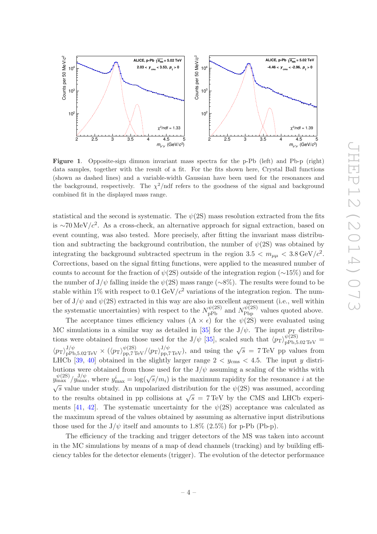

<span id="page-4-0"></span>Figure 1. Opposite-sign dimuon invariant mass spectra for the p-Pb (left) and Pb-p (right) data samples, together with the result of a fit. For the fits shown here, Crystal Ball functions (shown as dashed lines) and a variable-width Gaussian have been used for the resonances and the background, respectively. The  $\chi^2$ /ndf refers to the goodness of the signal and background combined fit in the displayed mass range.

statistical and the second is systematic. The  $\psi(2S)$  mass resolution extracted from the fits is ∼70 MeV/ $c^2$ . As a cross-check, an alternative approach for signal extraction, based on event counting, was also tested. More precisely, after fitting the invariant mass distribution and subtracting the background contribution, the number of  $\psi(2S)$  was obtained by integrating the background subtracted spectrum in the region  $3.5 < m_{\mu\mu} < 3.8 \,\text{GeV}/c^2$ . Corrections, based on the signal fitting functions, were applied to the measured number of counts to account for the fraction of  $\psi$ (2S) outside of the integration region (∼15%) and for the number of J/ $\psi$  falling inside the  $\psi(2S)$  mass range ( $\sim 8\%$ ). The results were found to be stable within 1% with respect to 0.1 GeV/ $c^2$  variations of the integration region. The number of  $J/\psi$  and  $\psi(2S)$  extracted in this way are also in excellent agreement (i.e., well within the systematic uncertainties) with respect to the  $N_{\rm pPb}^{\psi(2S)}$  and  $N_{\rm Pbp}^{\psi(2S)}$  values quoted above.

The acceptance times efficiency values  $(A \times \epsilon)$  for the  $\psi(2S)$  were evaluated using MC simulations in a similar way as detailed in [\[35](#page-16-6)] for the J/ $\psi$ . The input  $p_T$  distributions were obtained from those used for the J/ $\psi$  [\[35](#page-16-6)], scaled such that  $\langle p_T \rangle_{pPb,5.02 \text{ TeV}}^{\psi(2S)}$  $\langle p_T \rangle_{\text{pPb},5.02 \text{TeV}}^{J/\psi} \times (\langle p_T \rangle_{\text{pp},7 \text{TeV}}^{b/2S)} / \langle p_T \rangle_{\text{pp},7 \text{TeV}}^{J/\psi}$ , and using the  $\sqrt{s} = 7 \text{TeV}$  pp values from LHCb [\[39,](#page-16-10) [40\]](#page-16-11) obtained in the slightly larger range  $2 < y_{\rm cms} < 4.5$ . The input y distributions were obtained from those used for the  $J/\psi$  assuming a scaling of the widths with  $y_{\text{max}}^{\psi(2S)} / y_{\text{max}}^{J/\psi}$ , where  $y_{\text{max}}^i = \log(\sqrt{s/m_i})$  is the maximum rapidity for the resonance i at the  $\sqrt{s}$  value under study. An unpolarized distribution for the  $\psi(2S)$  was assumed, according to the results obtained in pp collisions at  $\sqrt{s}$  = 7 TeV by the CMS and LHCb experi-ments [\[41](#page-16-12), [42](#page-16-13)]. The systematic uncertainty for the  $\psi(2S)$  acceptance was calculated as the maximum spread of the values obtained by assuming as alternative input distributions those used for the  $J/\psi$  itself and amounts to 1.8% (2.5%) for p-Pb (Pb-p).

The efficiency of the tracking and trigger detectors of the MS was taken into account in the MC simulations by means of a map of dead channels (tracking) and by building efficiency tables for the detector elements (trigger). The evolution of the detector performance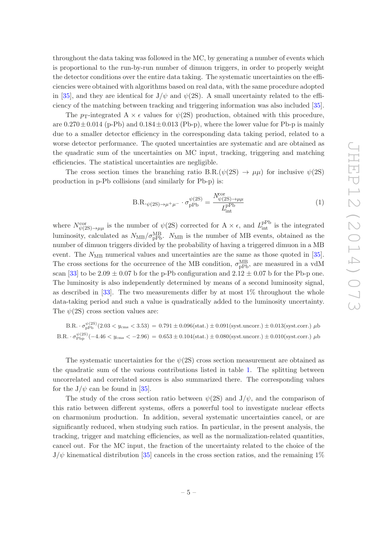throughout the data taking was followed in the MC, by generating a number of events which is proportional to the run-by-run number of dimuon triggers, in order to properly weight the detector conditions over the entire data taking. The systematic uncertainties on the efficiencies were obtained with algorithms based on real data, with the same procedure adopted in [\[35](#page-16-6)], and they are identical for  $J/\psi$  and  $\psi(2S)$ . A small uncertainty related to the efficiency of the matching between tracking and triggering information was also included [\[35\]](#page-16-6).

The p<sub>T</sub>-integrated A  $\times \epsilon$  values for  $\psi(2S)$  production, obtained with this procedure, are  $0.270 \pm 0.014$  (p-Pb) and  $0.184 \pm 0.013$  (Pb-p), where the lower value for Pb-p is mainly due to a smaller detector efficiency in the corresponding data taking period, related to a worse detector performance. The quoted uncertainties are systematic and are obtained as the quadratic sum of the uncertainties on MC input, tracking, triggering and matching efficiencies. The statistical uncertainties are negligible.

The cross section times the branching ratio B.R. $(\psi(2S) \rightarrow \mu\mu)$  for inclusive  $\psi(2S)$ production in p-Pb collisions (and similarly for Pb-p) is:

$$
B.R._{\psi(2S)\to\mu^+\mu^-}\cdot\sigma_{pPb}^{\psi(2S)} = \frac{N_{\psi(2S)\to\mu\mu}^{\text{cor}}}{L_{\text{int}}^{pPb}}
$$
(1)

where  $N^{\text{cor}}_{\psi(2S)\to\mu\mu}$  is the number of  $\psi(2S)$  corrected for  $A \times \epsilon$ , and  $L^{\text{pPb}}_{\text{int}}$  is the integrated luminosity, calculated as  $N_{\text{MB}}/\sigma_{\text{pPb}}^{\text{MB}}$ .  $N_{\text{MB}}$  is the number of MB events, obtained as the number of dimuon triggers divided by the probability of having a triggered dimuon in a MB event. The  $N_{\text{MB}}$  numerical values and uncertainties are the same as those quoted in [\[35\]](#page-16-6). The cross sections for the occurrence of the MB condition,  $\sigma_{\rm pPb}^{\rm MB}$ , are measured in a vdM scan [\[33](#page-16-4)] to be  $2.09 \pm 0.07$  b for the p-Pb configuration and  $2.12 \pm 0.07$  b for the Pb-p one. The luminosity is also independently determined by means of a second luminosity signal, as described in  $[33]$ . The two measurements differ by at most  $1\%$  throughout the whole data-taking period and such a value is quadratically added to the luminosity uncertainty. The  $\psi(2S)$  cross section values are:

$$
B.R. \cdot \sigma_{\text{pPb}}^{\psi(2S)}(2.03 < y_{\text{cms}} < 3.53) = 0.791 \pm 0.096(\text{stat.}) \pm 0.091(\text{syst.uncorr.}) \pm 0.013(\text{syst.corr.}) \,\,\mu\text{b}
$$
\n
$$
B.R. \cdot \sigma_{\text{pbp}}^{\psi(2S)}(-4.46 < y_{\text{cms}} < -2.96) = 0.653 \pm 0.104(\text{stat.}) \pm 0.080(\text{syst.uncorr.}) \pm 0.010(\text{syst.corr.}) \,\,\mu\text{b}
$$

The systematic uncertainties for the  $\psi$ (2S) cross section measurement are obtained as the quadratic sum of the various contributions listed in table [1.](#page-6-0) The splitting between uncorrelated and correlated sources is also summarized there. The corresponding values for the  $J/\psi$  can be found in [\[35](#page-16-6)].

The study of the cross section ratio between  $\psi(2S)$  and J/ $\psi$ , and the comparison of this ratio between different systems, offers a powerful tool to investigate nuclear effects on charmonium production. In addition, several systematic uncertainties cancel, or are significantly reduced, when studying such ratios. In particular, in the present analysis, the tracking, trigger and matching efficiencies, as well as the normalization-related quantities, cancel out. For the MC input, the fraction of the uncertainty related to the choice of the  $J/\psi$  kinematical distribution [\[35\]](#page-16-6) cancels in the cross section ratios, and the remaining 1%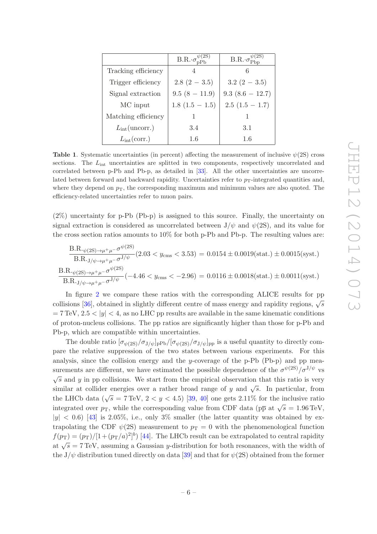|                          | $B.R.\sigma_{nPh}^{\psi(2S)}$ | $B.R.\sigma_{\rm phn}^{\psi(2S)}$ |
|--------------------------|-------------------------------|-----------------------------------|
| Tracking efficiency      |                               |                                   |
| Trigger efficiency       | $2.8(2-3.5)$                  | $3.2(2-3.5)$                      |
| Signal extraction        | $9.5(8-11.9)$                 | $9.3(8.6 - 12.7)$                 |
| MC input                 | $1.8(1.5-1.5)$                | $2.5(1.5 - 1.7)$                  |
| Matching efficiency      |                               |                                   |
| $L_{\rm int}$ (uncorr.)  | 3.4                           | 3.1                               |
| $L_{\rm int}(\rm corr.)$ | 1.6                           | 1.6                               |

<span id="page-6-0"></span>**Table 1.** Systematic uncertainties (in percent) affecting the measurement of inclusive  $\psi(2S)$  cross sections. The  $L_{int}$  uncertainties are splitted in two components, respectively uncorrelated and correlated between p-Pb and Pb-p, as detailed in [\[33](#page-16-4)]. All the other uncertainties are uncorrelated between forward and backward rapidity. Uncertainties refer to  $p_T$ -integrated quantities and, where they depend on  $p<sub>T</sub>$ , the corresponding maximum and minimum values are also quoted. The efficiency-related uncertainties refer to muon pairs.

(2%) uncertainty for p-Pb (Pb-p) is assigned to this source. Finally, the uncertainty on signal extraction is considered as uncorrelated between  $J/\psi$  and  $\psi(2S)$ , and its value for the cross section ratios amounts to 10% for both p-Pb and Pb-p. The resulting values are:

$$
\frac{\text{B.R.}_{\psi(2\text{S})\to\mu^{+}\mu^{-}}\sigma^{\psi(2\text{S})}}{\text{B.R.}_{\text{J}/\psi\to\mu^{+}\mu^{-}}\sigma^{\text{J}/\psi}}(2.03 < y_{\text{cms}} < 3.53) = 0.0154 \pm 0.0019(\text{stat.}) \pm 0.0015(\text{syst.})
$$
\n
$$
\frac{\text{B.R.}_{\psi(2\text{S})\to\mu^{+}\mu^{-}}\sigma^{\psi(2\text{S})}}{\text{B.R.}_{\text{J}/\psi\to\mu^{+}\mu^{-}}\sigma^{\text{J}/\psi}}(-4.46 < y_{\text{cms}} < -2.96) = 0.0116 \pm 0.0018(\text{stat.}) \pm 0.0011(\text{syst.})
$$

In figure [2](#page-7-0) we compare these ratios with the corresponding ALICE results for pp collisions [\[36](#page-16-7)], obtained in slightly different centre of mass energy and rapidity regions,  $\sqrt{s}$  $= 7 \text{ TeV}, 2.5 < |y| < 4$ , as no LHC pp results are available in the same kinematic conditions of proton-nucleus collisions. The pp ratios are significantly higher than those for p-Pb and Pb-p, which are compatible within uncertainties.

The double ratio  $[\sigma_{\psi(2S)}/\sigma_{J/\psi}]_{\text{pPb}}/[\sigma_{\psi(2S)}/\sigma_{J/\psi}]_{\text{pp}}$  is a useful quantity to directly compare the relative suppression of the two states between various experiments. For this analysis, since the collision energy and the y-coverage of the  $p-Pb$  (Pb- $p$ ) and  $pp$  measurements are different, we have estimated the possible dependence of the  $\sigma^{\psi(2S)}/\sigma^{J/\psi}$  vs  $\sqrt{s}$  and y in pp collisions. We start from the empirical observation that this ratio is very similar at collider energies over a rather broad range of y and  $\sqrt{s}$ . In particular, from the LHCb data ( $\sqrt{s} = 7 \,\text{TeV}$ ,  $2 < y < 4.5$ ) [\[39](#page-16-10), [40](#page-16-11)] one gets 2.11% for the inclusive ratio integrated over  $p_T$ , while the corresponding value from CDF data ( $p\bar{p}$  at  $\sqrt{s} = 1.96 \text{ TeV}$ ,  $|y| < 0.6$ ) [\[43\]](#page-16-14) is 2.05%, i.e., only 3% smaller (the latter quantity was obtained by extrapolating the CDF  $\psi(2S)$  measurement to  $p_T = 0$  with the phenomenological function  $f(p_T) = (p_T)/[1 + (p_T/a)^2]^b$  [\[44](#page-16-15)]. The LHCb result can be extrapolated to central rapidity at  $\sqrt{s} = 7$  TeV, assuming a Gaussian y-distribution for both resonances, with the width of the  $J/\psi$  distribution tuned directly on data [\[39\]](#page-16-10) and that for  $\psi(2S)$  obtained from the former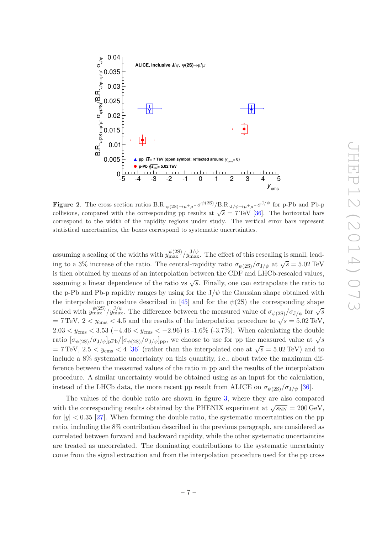

<span id="page-7-0"></span>**Figure 2**. The cross section ratios  $B.R._{\psi(2S) \to \mu^+\mu^-}\sigma^{\psi(2S)}/B.R._{J/\psi \to \mu^+\mu^-}\sigma^{J/\psi}$  for p-Pb and Pb-p collisions, compared with the corresponding pp results at  $\sqrt{s} = 7 \text{ TeV}$  [\[36\]](#page-16-7). The horizontal bars correspond to the width of the rapidity regions under study. The vertical error bars represent statistical uncertainties, the boxes correspond to systematic uncertainties.

assuming a scaling of the widths with  $y_{\text{max}}^{\psi(2S)} / y_{\text{max}}^{J/\psi}$ . The effect of this rescaling is small, leading to a 3% increase of the ratio. The central-rapidity ratio  $\sigma_{\psi(2S)}/\sigma_{J/\psi}$  at  $\sqrt{s} = 5.02 \,\text{TeV}$ is then obtained by means of an interpolation between the CDF and LHCb-rescaled values, assuming a linear dependence of the ratio vs  $\sqrt{s}$ . Finally, one can extrapolate the ratio to the p-Pb and Pb-p rapidity ranges by using for the  $J/\psi$  the Gaussian shape obtained with the interpolation procedure described in [\[45](#page-16-16)] and for the  $\psi(2S)$  the corresponding shape scaled with  $y_{\text{max}}^{\psi(2S)}$   $y_{\text{max}}^{J/\psi}$ . The difference between the measured value of  $\sigma_{\psi(2S)}/\sigma_{J/\psi}$  for  $\sqrt{s}$  $= 7 \,\text{TeV},\, 2 < y_\text{cms} < 4.5$  and the results of the interpolation procedure to  $\sqrt{s} = 5.02 \,\text{TeV},$ 2.03  $\lt y_{\rm cms}$   $\lt 3.53$  ( $-4.46 \lt y_{\rm cms}$   $\lt -2.96$ ) is -1.6% (-3.7%). When calculating the double ratio  $[\sigma_{\psi(2S)}/\sigma_{J/\psi}]_{\text{pPb}}/[\sigma_{\psi(2S)}/\sigma_{J/\psi}]_{\text{pp}}$ , we choose to use for pp the measured value at  $\sqrt{s}$  $= 7 \,\text{TeV}, 2.5 < y_{\text{cms}} < 4 \, [36]$  $= 7 \,\text{TeV}, 2.5 < y_{\text{cms}} < 4 \, [36]$  (rather than the interpolated one at  $\sqrt{s} = 5.02 \,\text{TeV}$ ) and to include a 8% systematic uncertainty on this quantity, i.e., about twice the maximum difference between the measured values of the ratio in pp and the results of the interpolation procedure. A similar uncertainty would be obtained using as an input for the calculation, instead of the LHCb data, the more recent pp result from ALICE on  $\sigma_{\psi(2S)}/\sigma_{J/\psi}$  [\[36](#page-16-7)].

The values of the double ratio are shown in figure [3,](#page-8-0) where they are also compared with the corresponding results obtained by the PHENIX experiment at  $\sqrt{s_{NN}} = 200 \,\text{GeV}$ , for  $|y| < 0.35$  [\[27](#page-15-14)]. When forming the double ratio, the systematic uncertainties on the pp ratio, including the 8% contribution described in the previous paragraph, are considered as correlated between forward and backward rapidity, while the other systematic uncertainties are treated as uncorrelated. The dominating contributions to the systematic uncertainty come from the signal extraction and from the interpolation procedure used for the pp cross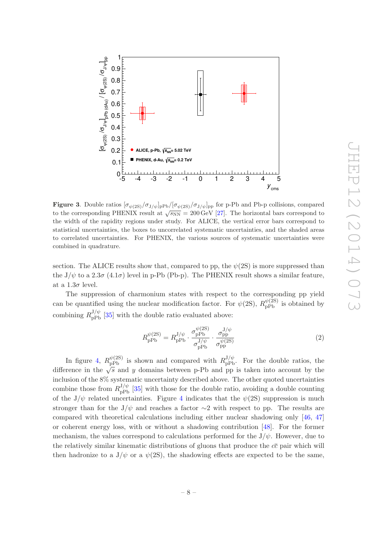

<span id="page-8-0"></span>**Figure 3.** Double ratios  $[\sigma_{\psi(2S)}/\sigma_{J/\psi}]_{\text{pPb}}/[\sigma_{\psi(2S)}/\sigma_{J/\psi}]_{\text{pp}}$  for p-Pb and Pb-p collisions, compared to the corresponding PHENIX result at  $\sqrt{s_{NN}} = 200 \,\text{GeV}$  [\[27\]](#page-15-14). The horizontal bars correspond to the width of the rapidity regions under study. For ALICE, the vertical error bars correspond to statistical uncertainties, the boxes to uncorrelated systematic uncertainties, and the shaded areas to correlated uncertainties. For PHENIX, the various sources of systematic uncertainties were combined in quadrature.

section. The ALICE results show that, compared to pp, the  $\psi(2S)$  is more suppressed than the  $J/\psi$  to a  $2.3\sigma$   $(4.1\sigma)$  level in p-Pb (Pb-p). The PHENIX result shows a similar feature, at a  $1.3\sigma$  level.

The suppression of charmonium states with respect to the corresponding pp yield can be quantified using the nuclear modification factor. For  $\psi(2S)$ ,  $R_{\rm pPb}^{\psi(2S)}$  is obtained by combining  $R_{\text{pPb}}^{J/\psi}$  [\[35](#page-16-6)] with the double ratio evaluated above:

<span id="page-8-1"></span>
$$
R_{\rm pPb}^{\psi(2S)} = R_{\rm pPb}^{\rm J/\psi} \cdot \frac{\sigma_{\rm pPb}^{\psi(2S)}}{\sigma_{\rm pPb}^{\rm J/\psi}} \cdot \frac{\sigma_{\rm pp}^{\rm J/\psi}}{\sigma_{\rm pp}^{\psi(2S)}}\tag{2}
$$

In figure [4,](#page-9-0)  $R_{\text{pPb}}^{\psi(2S)}$  is shown and compared with  $R_{\text{pPb}}^{J/\psi}$ . For the double ratios, the difference in the  $\sqrt{s}$  and y domains between p-Pb and pp is taken into account by the inclusion of the 8% systematic uncertainty described above. The other quoted uncertainties combine those from  $R_{\text{pPb}}^{J/\psi}$  [\[35](#page-16-6)] with those for the double ratio, avoiding a double counting of the  $J/\psi$  related uncertainties. Figure [4](#page-9-0) indicates that the  $\psi(2S)$  suppression is much stronger than for the J/ $\psi$  and reaches a factor ∼2 with respect to pp. The results are compared with theoretical calculations including either nuclear shadowing only [\[46](#page-16-17), [47\]](#page-16-18) or coherent energy loss, with or without a shadowing contribution [\[48](#page-17-0)]. For the former mechanism, the values correspond to calculations performed for the  $J/\psi$ . However, due to the relatively similar kinematic distributions of gluons that produce the  $c\bar{c}$  pair which will then hadronize to a  $J/\psi$  or a  $\psi(2S)$ , the shadowing effects are expected to be the same,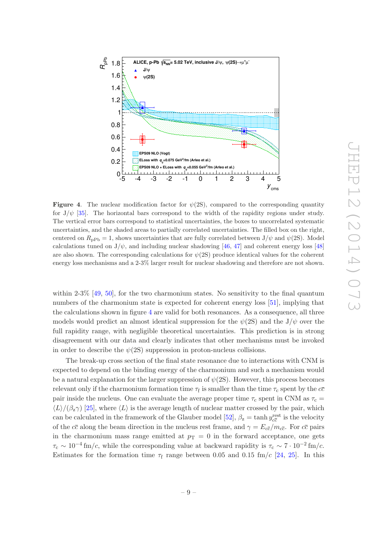

<span id="page-9-0"></span>**Figure 4.** The nuclear modification factor for  $\psi(2S)$ , compared to the corresponding quantity for  $J/\psi$  [\[35\]](#page-16-6). The horizontal bars correspond to the width of the rapidity regions under study. The vertical error bars correspond to statistical uncertainties, the boxes to uncorrelated systematic uncertainties, and the shaded areas to partially correlated uncertainties. The filled box on the right, centered on  $R_{\text{pPb}} = 1$ , shows uncertainties that are fully correlated between  $J/\psi$  and  $\psi(2S)$ . Model calculations tuned on  $J/\psi$ , and including nuclear shadowing [\[46,](#page-16-17) [47](#page-16-18)] and coherent energy loss [\[48](#page-17-0)] are also shown. The corresponding calculations for  $\psi(2S)$  produce identical values for the coherent energy loss mechanisms and a 2-3% larger result for nuclear shadowing and therefore are not shown.

within  $2-3\%$  [\[49,](#page-17-1) [50\]](#page-17-2), for the two charmonium states. No sensitivity to the final quantum numbers of the charmonium state is expected for coherent energy loss [\[51\]](#page-17-3), implying that the calculations shown in figure [4](#page-9-0) are valid for both resonances. As a consequence, all three models would predict an almost identical suppression for the  $\psi(2S)$  and the J/ $\psi$  over the full rapidity range, with negligible theoretical uncertainties. This prediction is in strong disagreement with our data and clearly indicates that other mechanisms must be invoked in order to describe the  $\psi(2S)$  suppression in proton-nucleus collisions.

The break-up cross section of the final state resonance due to interactions with CNM is expected to depend on the binding energy of the charmonium and such a mechanism would be a natural explanation for the larger suppression of  $\psi(2S)$ . However, this process becomes relevant only if the charmonium formation time  $\tau_f$  is smaller than the time  $\tau_c$  spent by the  $c\bar{c}$ pair inside the nucleus. One can evaluate the average proper time  $\tau_c$  spent in CNM as  $\tau_c$  =  $\langle L \rangle / (\beta_z \gamma)$  [\[25\]](#page-15-12), where  $\langle L \rangle$  is the average length of nuclear matter crossed by the pair, which can be calculated in the framework of the Glauber model [\[52\]](#page-17-4),  $\beta_z = \tanh y_{c\bar{c}}^{\text{rest}}$  is the velocity of the cc along the beam direction in the nucleus rest frame, and  $\gamma = E_{c\bar{c}}/m_{c\bar{c}}$ . For cc pairs in the charmonium mass range emitted at  $p_T = 0$  in the forward acceptance, one gets  $\tau_c \sim 10^{-4}$  fm/c, while the corresponding value at backward rapidity is  $\tau_c \sim 7 \cdot 10^{-2}$  fm/c. Estimates for the formation time  $\tau_f$  range between 0.05 and 0.15 fm/c [\[24](#page-15-11), [25\]](#page-15-12). In this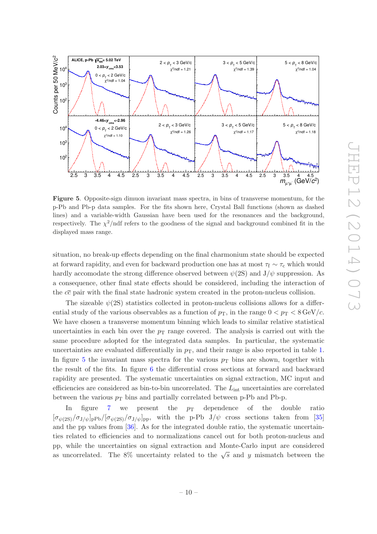

<span id="page-10-0"></span>Figure 5. Opposite-sign dimuon invariant mass spectra, in bins of transverse momentum, for the p-Pb and Pb-p data samples. For the fits shown here, Crystal Ball functions (shown as dashed lines) and a variable-width Gaussian have been used for the resonances and the background, respectively. The  $\chi^2$ /ndf refers to the goodness of the signal and background combined fit in the displayed mass range.

situation, no break-up effects depending on the final charmonium state should be expected at forward rapidity, and even for backward production one has at most  $\tau_f \sim \tau_c$  which would hardly accomodate the strong difference observed between  $\psi(2S)$  and  $J/\psi$  suppression. As a consequence, other final state effects should be considered, including the interaction of the  $c\bar{c}$  pair with the final state hadronic system created in the proton-nucleus collision.

The sizeable  $\psi(2S)$  statistics collected in proton-nucleus collisions allows for a differential study of the various observables as a function of  $p<sub>T</sub>$ , in the range  $0 < p<sub>T</sub> < 8 \text{ GeV}/c$ . We have chosen a transverse momentum binning which leads to similar relative statistical uncertainties in each bin over the  $p_T$  range covered. The analysis is carried out with the same procedure adopted for the integrated data samples. In particular, the systematic uncertainties are evaluated differentially in  $p<sub>T</sub>$ , and their range is also reported in table [1.](#page-6-0) In figure [5](#page-10-0) the invariant mass spectra for the various  $p<sub>T</sub>$  bins are shown, together with the result of the fits. In figure [6](#page-11-0) the differential cross sections at forward and backward rapidity are presented. The systematic uncertainties on signal extraction, MC input and efficiencies are considered as bin-to-bin uncorrelated. The  $L_{int}$  uncertainties are correlated between the various  $p<sub>T</sub>$  bins and partially correlated between p-Pb and Pb-p.

In figure [7](#page-12-0) we present the  $p_T$  dependence of the double ratio  $[\sigma_{\psi(2S)}/\sigma_{J/\psi}]_{\text{pPb}}/[\sigma_{\psi(2S)}/\sigma_{J/\psi}]_{\text{pp}}$ , with the p-Pb  $J/\psi$  cross sections taken from [\[35\]](#page-16-6) and the pp values from [\[36\]](#page-16-7). As for the integrated double ratio, the systematic uncertainties related to efficiencies and to normalizations cancel out for both proton-nucleus and pp, while the uncertainties on signal extraction and Monte-Carlo input are considered as uncorrelated. The 8% uncertainty related to the  $\sqrt{s}$  and y mismatch between the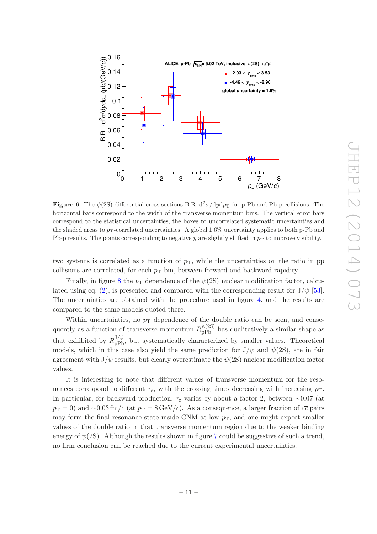

<span id="page-11-0"></span>**Figure 6.** The  $\psi(2S)$  differential cross sections B.R.  $d^2\sigma/dydp_T$  for p-Pb and Pb-p collisions. The horizontal bars correspond to the width of the transverse momentum bins. The vertical error bars correspond to the statistical uncertainties, the boxes to uncorrelated systematic uncertainties and the shaded areas to  $p_T$ -correlated uncertainties. A global 1.6% uncertainty applies to both p-Pb and Pb-p results. The points corresponding to negative y are slightly shifted in  $p<sub>T</sub>$  to improve visibility.

two systems is correlated as a function of  $p<sub>T</sub>$ , while the uncertainties on the ratio in pp collisions are correlated, for each  $p<sub>T</sub>$  bin, between forward and backward rapidity.

Finally, in figure [8](#page-12-1) the  $p_T$  dependence of the  $\psi(2S)$  nuclear modification factor, calcu-lated using eq. [\(2\)](#page-8-1), is presented and compared with the corresponding result for  $J/\psi$  [\[53\]](#page-17-5). The uncertainties are obtained with the procedure used in figure [4,](#page-9-0) and the results are compared to the same models quoted there.

Within uncertainties, no  $p<sub>T</sub>$  dependence of the double ratio can be seen, and consequently as a function of transverse momentum  $R_{\rm pPb}^{\psi(2S)}$  has qualitatively a similar shape as that exhibited by  $R_{\text{pPb}}^{J/\psi}$ , but systematically characterized by smaller values. Theoretical models, which in this case also yield the same prediction for  $J/\psi$  and  $\psi(2S)$ , are in fair agreement with  $J/\psi$  results, but clearly overestimate the  $\psi(2S)$  nuclear modification factor values.

It is interesting to note that different values of transverse momentum for the resonances correspond to different  $\tau_c$ , with the crossing times decreasing with increasing  $p_T$ . In particular, for backward production,  $\tau_c$  varies by about a factor 2, between ~0.07 (at  $p_T = 0$ ) and ~0.03 fm/c (at  $p_T = 8 \,\text{GeV}/c$ ). As a consequence, a larger fraction of  $c\bar{c}$  pairs may form the final resonance state inside CNM at low  $p<sub>T</sub>$ , and one might expect smaller values of the double ratio in that transverse momentum region due to the weaker binding energy of  $\psi(2S)$ . Although the results shown in figure [7](#page-12-0) could be suggestive of such a trend, no firm conclusion can be reached due to the current experimental uncertainties.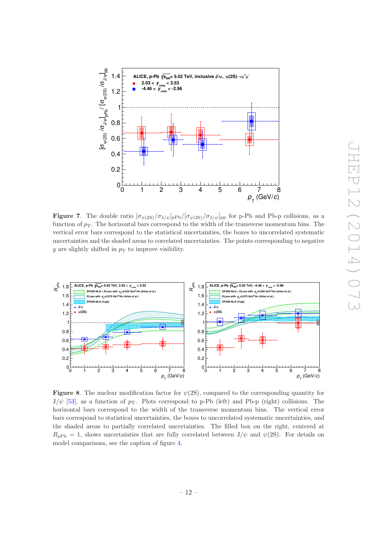

<span id="page-12-0"></span>**Figure 7.** The double ratio  $[\sigma_{\psi(2S)}/\sigma_{J/\psi}]_{\text{P}}$  [ $[\sigma_{\psi(2S)}/\sigma_{J/\psi}]_{\text{pp}}$  for p-Pb and Pb-p collisions, as a function of  $p<sub>T</sub>$ . The horizontal bars correspond to the width of the transverse momentum bins. The vertical error bars correspond to the statistical uncertainties, the boxes to uncorrelated systematic uncertainties and the shaded areas to correlated uncertainties. The points corresponding to negative y are slightly shifted in  $p<sub>T</sub>$  to improve visibility.



<span id="page-12-1"></span>**Figure 8.** The nuclear modification factor for  $\psi(2S)$ , compared to the corresponding quantity for  $J/\psi$  [\[53](#page-17-5)], as a function of  $p_T$ . Plots correspond to p-Pb (left) and Pb-p (right) collisions. The horizontal bars correspond to the width of the transverse momentum bins. The vertical error bars correspond to statistical uncertainties, the boxes to uncorrelated systematic uncertainties, and the shaded areas to partially correlated uncertainties. The filled box on the right, centered at  $R_{\text{nPh}} = 1$ , shows uncertainties that are fully correlated between  $J/\psi$  and  $\psi(2S)$ . For details on model comparisons, see the caption of figure [4.](#page-9-0)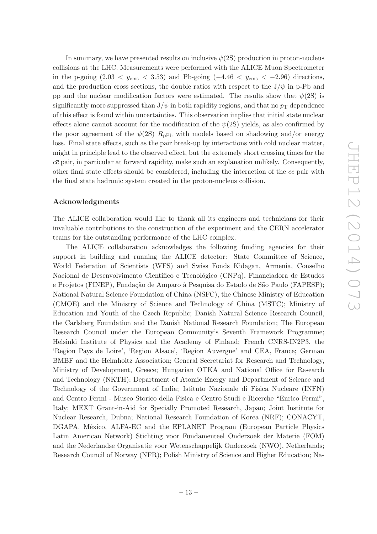In summary, we have presented results on inclusive  $\psi(2S)$  production in proton-nucleus collisions at the LHC. Measurements were performed with the ALICE Muon Spectrometer in the p-going  $(2.03 < y_{\rm cms} < 3.53)$  and Pb-going  $(-4.46 < y_{\rm cms} < -2.96)$  directions, and the production cross sections, the double ratios with respect to the  $J/\psi$  in p-Pb and pp and the nuclear modification factors were estimated. The results show that  $\psi(2S)$  is significantly more suppressed than  $J/\psi$  in both rapidity regions, and that no  $p_T$  dependence of this effect is found within uncertainties. This observation implies that initial state nuclear effects alone cannot account for the modification of the  $\psi(2S)$  yields, as also confirmed by the poor agreement of the  $\psi(2S)$  R<sub>pPb</sub> with models based on shadowing and/or energy loss. Final state effects, such as the pair break-up by interactions with cold nuclear matter, might in principle lead to the observed effect, but the extremely short crossing times for the  $c\bar{c}$  pair, in particular at forward rapidity, make such an explanation unlikely. Consequently, other final state effects should be considered, including the interaction of the  $c\bar{c}$  pair with the final state hadronic system created in the proton-nucleus collision.

#### Acknowledgments

The ALICE collaboration would like to thank all its engineers and technicians for their invaluable contributions to the construction of the experiment and the CERN accelerator teams for the outstanding performance of the LHC complex.

The ALICE collaboration acknowledges the following funding agencies for their support in building and running the ALICE detector: State Committee of Science, World Federation of Scientists (WFS) and Swiss Fonds Kidagan, Armenia, Conselho Nacional de Desenvolvimento Científico e Tecnológico (CNPq), Financiadora de Estudos e Projetos (FINEP), Fundação de Amparo à Pesquisa do Estado de São Paulo (FAPESP); National Natural Science Foundation of China (NSFC), the Chinese Ministry of Education (CMOE) and the Ministry of Science and Technology of China (MSTC); Ministry of Education and Youth of the Czech Republic; Danish Natural Science Research Council, the Carlsberg Foundation and the Danish National Research Foundation; The European Research Council under the European Community's Seventh Framework Programme; Helsinki Institute of Physics and the Academy of Finland; French CNRS-IN2P3, the 'Region Pays de Loire', 'Region Alsace', 'Region Auvergne' and CEA, France; German BMBF and the Helmholtz Association; General Secretariat for Research and Technology, Ministry of Development, Greece; Hungarian OTKA and National Office for Research and Technology (NKTH); Department of Atomic Energy and Department of Science and Technology of the Government of India; Istituto Nazionale di Fisica Nucleare (INFN) and Centro Fermi - Museo Storico della Fisica e Centro Studi e Ricerche "Enrico Fermi", Italy; MEXT Grant-in-Aid for Specially Promoted Research, Japan; Joint Institute for Nuclear Research, Dubna; National Research Foundation of Korea (NRF); CONACYT, DGAPA, México, ALFA-EC and the EPLANET Program (European Particle Physics Latin American Network) Stichting voor Fundamenteel Onderzoek der Materie (FOM) and the Nederlandse Organisatie voor Wetenschappelijk Onderzoek (NWO), Netherlands; Research Council of Norway (NFR); Polish Ministry of Science and Higher Education; Na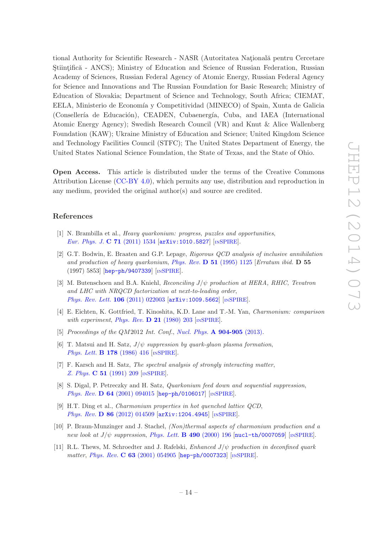tional Authority for Scientific Research - NASR (Autoritatea Natională pentru Cercetare Stiintifică - ANCS); Ministry of Education and Science of Russian Federation, Russian Academy of Sciences, Russian Federal Agency of Atomic Energy, Russian Federal Agency for Science and Innovations and The Russian Foundation for Basic Research; Ministry of Education of Slovakia; Department of Science and Technology, South Africa; CIEMAT, EELA, Ministerio de Economía y Competitividad (MINECO) of Spain, Xunta de Galicia (Consellería de Educación), CEADEN, Cubaenergía, Cuba, and IAEA (International Atomic Energy Agency); Swedish Research Council (VR) and Knut & Alice Wallenberg Foundation (KAW); Ukraine Ministry of Education and Science; United Kingdom Science and Technology Facilities Council (STFC); The United States Department of Energy, the United States National Science Foundation, the State of Texas, and the State of Ohio.

Open Access. This article is distributed under the terms of the Creative Commons Attribution License [\(CC-BY 4.0\)](http://creativecommons.org/licenses/by/4.0/), which permits any use, distribution and reproduction in any medium, provided the original author(s) and source are credited.

#### References

- <span id="page-14-0"></span>[1] N. Brambilla et al., Heavy quarkonium: progress, puzzles and opportunities, [Eur. Phys. J.](http://dx.doi.org/10.1140/epjc/s10052-010-1534-9) C 71 (2011) 1534 [[arXiv:1010.5827](http://arxiv.org/abs/1010.5827)] [IN[SPIRE](http://inspirehep.net/search?p=find+J+Eur.Phys.J.,C71,1534)].
- <span id="page-14-1"></span>[2] G.T. Bodwin, E. Braaten and G.P. Lepage, Rigorous QCD analysis of inclusive annihilation and production of heavy quarkonium, Phys. Rev.  $\bf{D} 51$  [\(1995\) 1125](http://dx.doi.org/10.1103/PhysRevD.51.1125 10.1103/PhysRevD.55.5853) [Erratum ibid.  $\bf{D} 55$ (1997) 5853] [[hep-ph/9407339](http://arxiv.org/abs/hep-ph/9407339)] [IN[SPIRE](http://inspirehep.net/search?p=find+J+Phys.Rev.,D51,1125)].
- <span id="page-14-2"></span>[3] M. Butenschoen and B.A. Kniehl, Reconciling  $J/\psi$  production at HERA, RHIC, Tevatron and LHC with NRQCD factorization at next-to-leading order, [Phys. Rev. Lett.](http://dx.doi.org/10.1103/PhysRevLett.106.022003) 106 (2011) 022003 [[arXiv:1009.5662](http://arxiv.org/abs/1009.5662)] [IN[SPIRE](http://inspirehep.net/search?p=find+J+Phys.Rev.Lett.,106,022003)].
- <span id="page-14-3"></span>[4] E. Eichten, K. Gottfried, T. Kinoshita, K.D. Lane and T.-M. Yan, Charmonium: comparison with experiment, [Phys. Rev.](http://dx.doi.org/10.1103/PhysRevD.21.203)  $\bf{D}$  21 (1980) 203 [IN[SPIRE](http://inspirehep.net/search?p=find+J+Phys.Rev.,D21,203)].
- <span id="page-14-4"></span>[5] Proceedings of the QM2012 Int. Conf., Nucl. Phys. **[A 904-905](http://dx.doi.org/10.1016/S0375-9474(13)00439-9)** (2013).
- <span id="page-14-5"></span>[6] T. Matsui and H. Satz,  $J/\psi$  suppression by quark-gluon plasma formation, [Phys. Lett.](http://dx.doi.org/10.1016/0370-2693(86)91404-8) **B 178** (1986) 416 [IN[SPIRE](http://inspirehep.net/search?p=find+J+Phys.Lett.,B178,416)].
- <span id="page-14-6"></span>[7] F. Karsch and H. Satz, The spectral analysis of strongly interacting matter, Z. Phys. C 51 [\(1991\) 209](http://dx.doi.org/10.1007/BF01475790) [IN[SPIRE](http://inspirehep.net/search?p=find+J+Z.Physik,C51,209)].
- <span id="page-14-7"></span>[8] S. Digal, P. Petreczky and H. Satz, *Quarkonium feed down and sequential suppression*, Phys. Rev. D 64 [\(2001\) 094015](http://dx.doi.org/10.1103/PhysRevD.64.094015) [[hep-ph/0106017](http://arxiv.org/abs/hep-ph/0106017)] [IN[SPIRE](http://inspirehep.net/search?p=find+J+Phys.Rev.,D64,094015)].
- <span id="page-14-8"></span>[9] H.T. Ding et al., Charmonium properties in hot quenched lattice QCD, Phys. Rev. D 86 [\(2012\) 014509](http://dx.doi.org/10.1103/PhysRevD.86.014509) [[arXiv:1204.4945](http://arxiv.org/abs/1204.4945)] [IN[SPIRE](http://inspirehep.net/search?p=find+J+Phys.Rev.,D86,014509)].
- <span id="page-14-9"></span>[10] P. Braun-Munzinger and J. Stachel, (Non)thermal aspects of charmonium production and a new look at  $J/\psi$  suppression, [Phys. Lett.](http://dx.doi.org/10.1016/S0370-2693(00)00991-6) **B** 490 (2000) 196  $\text{ln}$ ucl-th/0007059  $\text{ln}$ [SPIRE](http://inspirehep.net/search?p=find+J+Phys.Lett.,B490,196).
- [11] R.L. Thews, M. Schroedter and J. Rafelski, *Enhanced J/* $\psi$  *production in deconfined quark* matter, Phys. Rev. C 63 [\(2001\) 054905](http://dx.doi.org/10.1103/PhysRevC.63.054905) [[hep-ph/0007323](http://arxiv.org/abs/hep-ph/0007323)] [IN[SPIRE](http://inspirehep.net/search?p=find+J+Phys.Rev.,C63,054905)].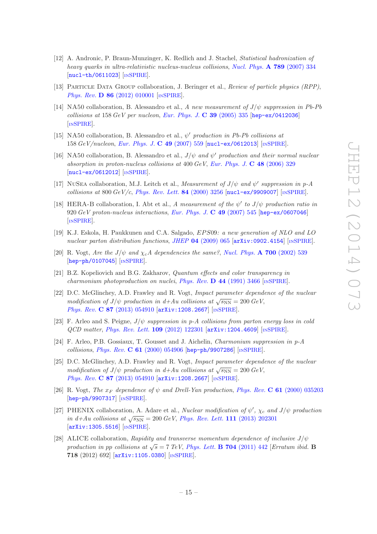- <span id="page-15-0"></span>[12] A. Andronic, P. Braun-Munzinger, K. Redlich and J. Stachel, Statistical hadronization of heavy quarks in ultra-relativistic nucleus-nucleus collisions, [Nucl. Phys.](http://dx.doi.org/10.1016/j.nuclphysa.2007.02.013) A 789 (2007) 334 [[nucl-th/0611023](http://arxiv.org/abs/nucl-th/0611023)] [IN[SPIRE](http://inspirehep.net/search?p=find+J+Nucl.Phys.,A789,334)].
- <span id="page-15-1"></span>[13] Particle Data Group collaboration, J. Beringer et al., Review of particle physics (RPP), Phys. Rev. **D 86** [\(2012\) 010001](http://dx.doi.org/10.1103/PhysRevD.86.010001) [IN[SPIRE](http://inspirehep.net/search?p=find+J+Phys.Rev.,D86,010001)].
- <span id="page-15-2"></span>[14] NA50 collaboration, B. Alessandro et al., A new measurement of  $J/\psi$  suppression in Pb-Pb collisions at 158 GeV per nucleon, [Eur. Phys. J.](http://dx.doi.org/10.1140/epjc/s2004-02107-9) C 39 (2005) 335 [[hep-ex/0412036](http://arxiv.org/abs/hep-ex/0412036)] [IN[SPIRE](http://inspirehep.net/search?p=find+J+Eur.Phys.J.,C39,335)].
- <span id="page-15-3"></span>[15] NA50 collaboration, B. Alessandro et al.,  $\psi'$  production in Pb-Pb collisions at 158  $GeV/nucleon$ , [Eur. Phys. J.](http://dx.doi.org/10.1140/epjc/s10052-006-0153-y) C 49 (2007) 559  $[nuc1-ex/0612013]$  [IN[SPIRE](http://inspirehep.net/search?p=find+J+Eur.Phys.J.,C49,559)].
- <span id="page-15-4"></span>[16] NA50 collaboration, B. Alessandro et al.,  $J/\psi$  and  $\psi'$  production and their normal nuclear absorption in proton-nucleus collisions at  $400 \text{ GeV}$ , [Eur. Phys. J.](http://dx.doi.org/10.1140/epjc/s10052-006-0079-4) C 48 (2006) 329 [[nucl-ex/0612012](http://arxiv.org/abs/nucl-ex/0612012)] [IN[SPIRE](http://inspirehep.net/search?p=find+J+Eur.Phys.J.,C48,329)].
- <span id="page-15-5"></span>[17] NUSEA collaboration, M.J. Leitch et al., Measurement of  $J/\psi$  and  $\psi'$  suppression in p-A collisions at 800  $GeV/c$ , [Phys. Rev. Lett.](http://dx.doi.org/10.1103/PhysRevLett.84.3256) 84 (2000) 3256  $[nuc1-ex/9909007]$  [IN[SPIRE](http://inspirehep.net/search?p=find+J+Phys.Rev.Lett.,84,3256)].
- <span id="page-15-6"></span>[18] HERA-B collaboration, I. Abt et al., A measurement of the  $\psi'$  to  $J/\psi$  production ratio in 920 GeV proton-nucleus interactions, [Eur. Phys. J.](http://dx.doi.org/10.1140/epjc/s10052-006-0139-9) C 49 (2007) 545 [[hep-ex/0607046](http://arxiv.org/abs/hep-ex/0607046)] [IN[SPIRE](http://inspirehep.net/search?p=find+J+Eur.Phys.J.,C49,545)].
- <span id="page-15-7"></span>[19] K.J. Eskola, H. Paukkunen and C.A. Salgado, EP S09: a new generation of NLO and LO nuclear parton distribution functions, JHEP 04 [\(2009\) 065](http://dx.doi.org/10.1088/1126-6708/2009/04/065)  $\left[$ [arXiv:0902.4154](http://arxiv.org/abs/0902.4154) $\right]$  [IN[SPIRE](http://inspirehep.net/search?p=find+J+JHEP,0904,065)].
- <span id="page-15-8"></span>[20] R. Vogt, Are the  $J/\psi$  and  $\chi_c A$  dependencies the same?, [Nucl. Phys.](http://dx.doi.org/10.1016/S0375-9474(01)01313-6) A 700 (2002) 539 [[hep-ph/0107045](http://arxiv.org/abs/hep-ph/0107045)] [IN[SPIRE](http://inspirehep.net/search?p=find+J+Nucl.Phys.,A700,539)].
- [21] B.Z. Kopeliovich and B.G. Zakharov, Quantum effects and color transparency in charmonium photoproduction on nuclei, Phys. Rev.  $\bf{D}$  44 [\(1991\) 3466](http://dx.doi.org/10.1103/PhysRevD.44.3466) [IN[SPIRE](http://inspirehep.net/search?p=find+J+Phys.Rev.,D44,3466)].
- <span id="page-15-9"></span>[22] D.C. McGlinchey, A.D. Frawley and R. Vogt, Impact parameter dependence of the nuclear modification of  $J/\psi$  production in d+Au collisions at  $\sqrt{s_{NN}} = 200 \text{ GeV}$ , Phys. Rev. C 87 [\(2013\) 054910](http://dx.doi.org/10.1103/PhysRevC.87.054910) [[arXiv:1208.2667](http://arxiv.org/abs/1208.2667)] [IN[SPIRE](http://inspirehep.net/search?p=find+J+Phys.Rev.,C87,054910)].
- <span id="page-15-10"></span>[23] F. Arleo and S. Peigne,  $J/\psi$  suppression in p-A collisions from parton energy loss in cold QCD matter, [Phys. Rev. Lett.](http://dx.doi.org/10.1103/PhysRevLett.109.122301) 109 (2012) 122301 [[arXiv:1204.4609](http://arxiv.org/abs/1204.4609)] [IN[SPIRE](http://inspirehep.net/search?p=find+J+Phys.Rev.Lett.,109,122301)].
- <span id="page-15-11"></span>[24] F. Arleo, P.B. Gossiaux, T. Gousset and J. Aichelin, Charmonium suppression in p-A collisions, Phys. Rev. C 61 [\(2000\) 054906](http://dx.doi.org/10.1103/PhysRevC.61.054906) [[hep-ph/9907286](http://arxiv.org/abs/hep-ph/9907286)] [IN[SPIRE](http://inspirehep.net/search?p=find+J+Phys.Rev.,C61,054906)].
- <span id="page-15-12"></span>[25] D.C. McGlinchey, A.D. Frawley and R. Vogt, Impact parameter dependence of the nuclear modification of  $J/\psi$  production in d+Au collisions at  $\sqrt{s_{NN}} = 200 \text{ GeV}$ , Phys. Rev. C 87 [\(2013\) 054910](http://dx.doi.org/10.1103/PhysRevC.87.054910) [[arXiv:1208.2667](http://arxiv.org/abs/1208.2667)] [IN[SPIRE](http://inspirehep.net/search?p=find+J+Phys.Rev.,C87,054910)].
- <span id="page-15-13"></span>[26] R. Vogt, The  $x_F$  dependence of  $\psi$  and Drell-Yan production, Phys. Rev. C 61 [\(2000\) 035203](http://dx.doi.org/10.1103/PhysRevC.61.035203) [[hep-ph/9907317](http://arxiv.org/abs/hep-ph/9907317)] [IN[SPIRE](http://inspirehep.net/search?p=find+J+Phys.Rev.,C61,035203)].
- <span id="page-15-14"></span>[27] PHENIX collaboration, A. Adare et al., Nuclear modification of  $\psi'$ ,  $\chi_c$  and  $J/\psi$  production in d+Au collisions at  $\sqrt{s_{NN}} = 200 \text{ GeV}$ , *[Phys. Rev. Lett.](http://dx.doi.org/10.1103/PhysRevLett.111.202301)* 111 (2013) 202301 [[arXiv:1305.5516](http://arxiv.org/abs/1305.5516)] [IN[SPIRE](http://inspirehep.net/search?p=find+J+Phys.Rev.Lett.,111,202301)].
- <span id="page-15-15"></span>[28] ALICE collaboration, Rapidity and transverse momentum dependence of inclusive  $J/\psi$ production in pp collisions at  $\sqrt{s} = 7$  TeV, [Phys. Lett.](http://dx.doi.org/10.1016/j.physletb.2011.09.054) **B** 704 (2011) 442 [*Erratum ibid.* **B** 718 (2012) 692] [[arXiv:1105.0380](http://arxiv.org/abs/1105.0380)] [IN[SPIRE](http://inspirehep.net/search?p=find+J+Phys.Lett.,B704,442)].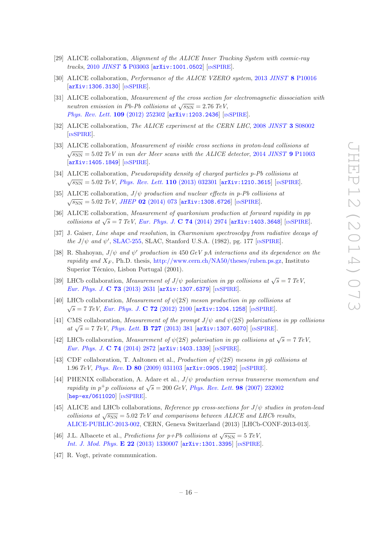- <span id="page-16-0"></span>[29] ALICE collaboration, Alignment of the ALICE Inner Tracking System with cosmic-ray tracks, 2010 JINST 5 [P03003](http://dx.doi.org/10.1088/1748-0221/5/03/P03003) [[arXiv:1001.0502](http://arxiv.org/abs/1001.0502)] [IN[SPIRE](http://inspirehep.net/search?p=find+J+JINST,5,P03003)].
- <span id="page-16-1"></span>[30] ALICE collaboration, Performance of the ALICE VZERO system, 2013 JINST 8 [P10016](http://dx.doi.org/10.1088/1748-0221/8/10/P10016) [[arXiv:1306.3130](http://arxiv.org/abs/1306.3130)] [IN[SPIRE](http://inspirehep.net/search?p=find+J+JINST,8,P10016)].
- <span id="page-16-2"></span>[31] ALICE collaboration, Measurement of the cross section for electromagnetic dissociation with neutron emission in Pb-Pb collisions at  $\sqrt{s_{NN}} = 2.76 \text{ TeV}$ , [Phys. Rev. Lett.](http://dx.doi.org/10.1103/PhysRevLett.109.252302) 109 (2012) 252302 [[arXiv:1203.2436](http://arxiv.org/abs/1203.2436)] [IN[SPIRE](http://inspirehep.net/search?p=find+J+Phys.Rev.Lett.,109,252302)].
- <span id="page-16-3"></span>[32] ALICE collaboration, The ALICE experiment at the CERN LHC, 2008 JINST 3 [S08002](http://dx.doi.org/10.1088/1748-0221/3/08/S08002) [IN[SPIRE](http://inspirehep.net/search?p=find+J+JINST,3,S08002)].
- <span id="page-16-4"></span>[33] ALICE collaboration, Measurement of visible cross sections in proton-lead collisions at  $\sqrt{s_{NN}} = 5.02 \; TeV$  in van der Meer scans with the ALICE detector, 2014 JINST 9 [P11003](http://dx.doi.org/10.1088/1748-0221/9/11/P11003) [[arXiv:1405.1849](http://arxiv.org/abs/1405.1849)] [IN[SPIRE](http://inspirehep.net/search?p=find+EPRINT+arXiv:1405.1849)].
- <span id="page-16-5"></span>[34] ALICE collaboration, Pseudorapidity density of charged particles p-Pb collisions at  $\sqrt{s_{\rm NN}} = 5.02 \; TeV$ , *[Phys. Rev. Lett.](http://dx.doi.org/10.1103/PhysRevLett.110.032301)* 110 (2013) 032301 [[arXiv:1210.3615](http://arxiv.org/abs/1210.3615)] [IN[SPIRE](http://inspirehep.net/search?p=find+J+Phys.Rev.Lett.,110,032301)].
- <span id="page-16-6"></span>[35] ALICE collaboration,  $J/\psi$  production and nuclear effects in p-Pb collisions at  $\sqrt{s_{\rm NN}} = 5.02 \; TeV, \; JHEP$  02 [\(2014\) 073](http://dx.doi.org/10.1007/JHEP02(2014)073) [[arXiv:1308.6726](http://arxiv.org/abs/1308.6726)] [IN[SPIRE](http://inspirehep.net/search?p=find+J+JHEP,1402,073)].
- <span id="page-16-7"></span>[36] ALICE collaboration, Measurement of quarkonium production at forward rapidity in pp collisions at  $\sqrt{s} = 7 \text{ TeV}$ , [Eur. Phys. J.](http://dx.doi.org/10.1140/epjc/s10052-014-2974-4) C 74 (2014) 2974 [[arXiv:1403.3648](http://arxiv.org/abs/1403.3648)] [IN[SPIRE](http://inspirehep.net/search?p=find+J+Eur.Phys.J.,C74,2974)].
- <span id="page-16-8"></span>[37] J. Gaiser, Line shape and resolution, in Charmonium spectroscdpy from radiative decays of the  $J/\psi$  and  $\psi'$ , [SLAC-255,](http://www.slac.stanford.edu/cgi-wrap/getdoc/slac-r-255.pdf) SLAC, Stanford U.S.A. (1982), pg. 177 [IN[SPIRE](http://inspirehep.net/record/183554)].
- <span id="page-16-9"></span>[38] R. Shahoyan,  $J/\psi$  and  $\psi'$  production in 450 GeV pA interactions and its dependence on the rapidity and  $X_F$ , Ph.D. thesis, [http://www.cern.ch/NA50/theses/ruben.ps.gz,](http://www.cern.ch/NA50/theses/ruben.ps.gz) Instituto Superior Técnico, Lisbon Portugal (2001).
- <span id="page-16-10"></span>[39] LHCb collaboration, *Measurement of J/* $\psi$  *polarization in pp collisions at*  $\sqrt{s} = 7 \text{ TeV}$ , [Eur. Phys. J.](http://dx.doi.org/10.1140/epjc/s10052-013-2631-3) C 73 (2013) 2631 [[arXiv:1307.6379](http://arxiv.org/abs/1307.6379)] [IN[SPIRE](http://inspirehep.net/search?p=find+J+Eur.Phys.J.,C73,2631)].
- <span id="page-16-11"></span>[40] LHCb collaboration, Measurement of  $\psi(2S)$  meson production in pp collisions at  $\sqrt{s} = 7 \; TeV$ , [Eur. Phys. J.](http://dx.doi.org/10.1140/epjc/s10052-012-2100-4) C 72 (2012) 2100 [[arXiv:1204.1258](http://arxiv.org/abs/1204.1258)] [IN[SPIRE](http://inspirehep.net/search?p=find+J+Eur.Phys.J.,C72,2100)].
- <span id="page-16-12"></span>[41] CMS collaboration, Measurement of the prompt  $J/\psi$  and  $\psi(2S)$  polarizations in pp collisions at  $\sqrt{s}$  = 7 TeV, [Phys. Lett.](http://dx.doi.org/10.1016/j.physletb.2013.10.055) **B 727** (2013) 381 [[arXiv:1307.6070](http://arxiv.org/abs/1307.6070)] [IN[SPIRE](http://inspirehep.net/search?p=find+J+Phys.Lett.,B727,381)].
- <span id="page-16-13"></span>[42] LHCb collaboration, Measurement of  $\psi(2S)$  polarisation in pp collisions at  $\sqrt{s} = 7 \text{ TeV}$ , [Eur. Phys. J.](http://dx.doi.org/10.1140/epjc/s10052-014-2872-9) C 74 (2014) 2872 [[arXiv:1403.1339](http://arxiv.org/abs/1403.1339)] [IN[SPIRE](http://inspirehep.net/search?p=find+J+Eur.Phys.J.,C74,2872)].
- <span id="page-16-14"></span>[43] CDF collaboration, T. Aaltonen et al., *Production of*  $\psi(2S)$  mesons in pp collisions at 1.96 TeV, Phys. Rev. D 80 [\(2009\) 031103](http://dx.doi.org/10.1103/PhysRevD.80.031103) [[arXiv:0905.1982](http://arxiv.org/abs/0905.1982)] [IN[SPIRE](http://inspirehep.net/search?p=find+J+Phys.Rev.,D80,031103)].
- <span id="page-16-15"></span>[44] PHENIX collaboration, A. Adare et al.,  $J/\psi$  production versus transverse momentum and rapidity in  $p^+p$  collisions at  $\sqrt{s} = 200 \text{ GeV}$ , *[Phys. Rev. Lett.](http://dx.doi.org/10.1103/PhysRevLett.98.232002)* **98** (2007) 232002 [[hep-ex/0611020](http://arxiv.org/abs/hep-ex/0611020)] [IN[SPIRE](http://inspirehep.net/search?p=find+J+Phys.Rev.Lett.,98,232002)].
- <span id="page-16-16"></span>[45] ALICE and LHCb collaborations, Reference pp cross-sections for  $J/\psi$  studies in proton-lead collisions at  $\sqrt{s_{NN}} = 5.02 \text{ TeV}$  and comparisons between ALICE and LHCb results, [ALICE-PUBLIC-2013-002,](http://cds.cern.ch/record/1639617) CERN, Geneva Switzerland (2013) [LHCb-CONF-2013-013].
- <span id="page-16-17"></span>[46] J.L. Albacete et al., *Predictions for p+Pb collisions at*  $\sqrt{s_{NN}} = 5 \text{ TeV}$ , [Int. J. Mod. Phys.](http://dx.doi.org/10.1142/S0218301313300075) E 22 (2013) 1330007 [[arXiv:1301.3395](http://arxiv.org/abs/1301.3395)] [IN[SPIRE](http://inspirehep.net/search?p=find+EPRINT+arXiv:1301.3395)].
- <span id="page-16-18"></span>[47] R. Vogt, private communication.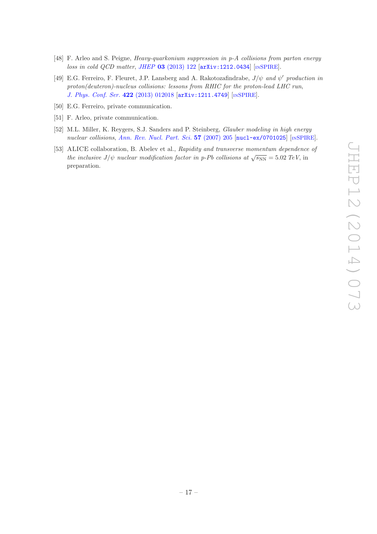- <span id="page-17-0"></span>[48] F. Arleo and S. Peigne, Heavy-quarkonium suppression in p-A collisions from parton energy loss in cold QCD matter, JHEP 03 [\(2013\) 122](http://dx.doi.org/10.1007/JHEP03(2013)122) [[arXiv:1212.0434](http://arxiv.org/abs/1212.0434)] [IN[SPIRE](http://inspirehep.net/search?p=find+J+JHEP,1303,122)].
- <span id="page-17-1"></span>[49] E.G. Ferreiro, F. Fleuret, J.P. Lansberg and A. Rakotozafindrabe,  $J/\psi$  and  $\psi'$  production in proton(deuteron)-nucleus collisions: lessons from RHIC for the proton-lead LHC run, [J. Phys. Conf. Ser.](http://dx.doi.org/10.1088/1742-6596/422/1/012018) 422 (2013) 012018 [[arXiv:1211.4749](http://arxiv.org/abs/1211.4749)] [IN[SPIRE](http://inspirehep.net/search?p=find+EPRINT+arXiv:1211.4749)].
- <span id="page-17-2"></span>[50] E.G. Ferreiro, private communication.
- <span id="page-17-3"></span>[51] F. Arleo, private communication.
- <span id="page-17-4"></span>[52] M.L. Miller, K. Reygers, S.J. Sanders and P. Steinberg, Glauber modeling in high energy nuclear collisions, [Ann. Rev. Nucl. Part. Sci.](http://dx.doi.org/10.1146/annurev.nucl.57.090506.123020) 57 (2007) 205  $\lceil \text{nucl-ex}/0701025 \rceil \rceil \cdot \text{INSPIRE}.$  $\lceil \text{nucl-ex}/0701025 \rceil \rceil \cdot \text{INSPIRE}.$  $\lceil \text{nucl-ex}/0701025 \rceil \rceil \cdot \text{INSPIRE}.$
- <span id="page-17-5"></span>[53] ALICE collaboration, B. Abelev et al., Rapidity and transverse momentum dependence of the inclusive  $J/\psi$  nuclear modification factor in p-Pb collisions at  $\sqrt{s_{NN}} = 5.02 \text{ TeV}$ , in preparation.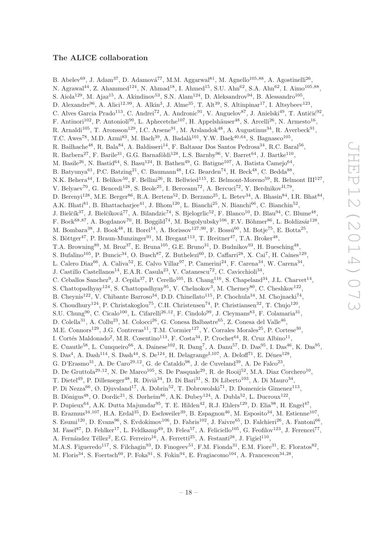### The ALICE collaboration

B. Abelev<sup>69</sup>, J. Adam<sup>37</sup>, D. Adamová<sup>77</sup>, M.M. Aggarwal<sup>81</sup>, M. Agnello<sup>105,88</sup>, A. Agostinelli<sup>26</sup>, N. Agrawal<sup>44</sup>, Z. Ahammed<sup>124</sup>, N. Ahmad<sup>18</sup>, I. Ahmed<sup>15</sup>, S.U. Ahn<sup>62</sup>, S.A. Ahn<sup>62</sup>, I. Aimo<sup>105,88</sup>, S. Aiola<sup>129</sup>, M. Ajaz<sup>15</sup>, A. Akindinov<sup>53</sup>, S.N. Alam<sup>124</sup>, D. Aleksandrov<sup>94</sup>, B. Alessandro<sup>105</sup>, D. Alexandre<sup>96</sup>, A. Alici<sup>12,99</sup>, A. Alkin<sup>3</sup>, J. Alme<sup>35</sup>, T. Alt<sup>39</sup>, S. Altinpinar<sup>17</sup>, I. Altsybeev<sup>123</sup>, C. Alves Garcia Prado<sup>113</sup>, C. Andrei<sup>72</sup>, A. Andronic<sup>91</sup>, V. Anguelov<sup>87</sup>, J. Anielski<sup>49</sup>, T. Antičić<sup>92</sup>, F. Antinori<sup>102</sup>, P. Antonioli<sup>99</sup>, L. Aphecetche<sup>107</sup>, H. Appelshäuser<sup>48</sup>, S. Arcelli<sup>26</sup>, N. Armesto<sup>16</sup>, R. Arnaldi<sup>105</sup>, T. Aronsson<sup>129</sup>, I.C. Arsene<sup>91</sup>, M. Arslandok<sup>48</sup>, A. Augustinus<sup>34</sup>, R. Averbeck<sup>91</sup>, T.C. Awes<sup>78</sup>, M.D. Azmi<sup>83</sup>, M. Bach<sup>39</sup>, A. Badalà<sup>101</sup>, Y.W. Baek<sup>40,64</sup>, S. Bagnasco<sup>105</sup>, R. Bailhache<sup>48</sup>, R. Bala<sup>84</sup>, A. Baldisseri<sup>14</sup>, F. Baltasar Dos Santos Pedrosa<sup>34</sup>, R.C. Baral<sup>56</sup>, R. Barbera<sup>27</sup>, F. Barile<sup>31</sup>, G.G. Barnaföldi<sup>128</sup>, L.S. Barnby<sup>96</sup>, V. Barret<sup>64</sup>, J. Bartke<sup>110</sup>, M. Basile<sup>26</sup>, N. Bastid<sup>64</sup>, S. Basu<sup>124</sup>, B. Bathen<sup>49</sup>, G. Batigne<sup>107</sup>, A. Batista Camejo<sup>64</sup>, B. Batyunya<sup>61</sup>, P.C. Batzing<sup>21</sup>, C. Baumann<sup>48</sup>, I.G. Bearden<sup>74</sup>, H. Beck<sup>48</sup>, C. Bedda<sup>88</sup>, N.K. Behera<sup>44</sup>, I. Belikov<sup>50</sup>, F. Bellini<sup>26</sup>, R. Bellwied<sup>115</sup>, E. Belmont-Moreno<sup>59</sup>, R. Belmont III<sup>127</sup>, V. Belyaev<sup>70</sup>, G. Bencedi<sup>128</sup>, S. Beole<sup>25</sup>, I. Berceanu<sup>72</sup>, A. Bercuci<sup>72</sup>, Y. Berdnikov<sup>II,79</sup>, D. Berenyi<sup>128</sup>, M.E. Berger<sup>86</sup>, R.A. Bertens<sup>52</sup>, D. Berzano<sup>25</sup>, L. Betev<sup>34</sup>, A. Bhasin<sup>84</sup>, I.R. Bhat<sup>84</sup>, A.K. Bhati $^{81}$ , B. Bhattacharjee<sup>41</sup>, J. Bhom<sup>120</sup>, L. Bianchi<sup>25</sup>, N. Bianchi<sup>66</sup>, C. Bianchin<sup>52</sup>, J. Bielčík $^{37}$ , J. Bielčíková $^{77}$ , A. Bilandzic $^{74}$ , S. Bjelogrlic $^{52}$ , F. Blanco<sup>10</sup>, D. Blau $^{94}$ , C. Blume<sup>48</sup>, F. Bock<sup>68,87</sup>, A. Bogdanov<sup>70</sup>, H. Bøggild<sup>74</sup>, M. Bogolyubsky<sup>106</sup>, F.V. Böhmer<sup>86</sup>, L. Boldizsár<sup>128</sup>, M. Bombara<sup>38</sup>, J. Book<sup>48</sup>, H. Borel<sup>14</sup>, A. Borissov<sup>127,90</sup>, F. Bossú<sup>60</sup>, M. Botje<sup>75</sup>, E. Botta<sup>25</sup>, S. Böttger<sup>47</sup>, P. Braun-Munzinger<sup>91</sup>, M. Bregant<sup>113</sup>, T. Breitner<sup>47</sup>, T.A. Broker<sup>48</sup>, T.A. Browning<sup>89</sup>, M. Broz<sup>37</sup>, E. Bruna<sup>105</sup>, G.E. Bruno<sup>31</sup>, D. Budnikov<sup>93</sup>, H. Buesching<sup>48</sup>, S. Bufalino<sup>105</sup>, P. Buncic<sup>34</sup>, O. Busch<sup>87</sup>, Z. Buthelezi<sup>60</sup>, D. Caffarri<sup>28</sup>, X. Cai<sup>7</sup>, H. Caines<sup>129</sup>, L. Calero Diaz<sup>66</sup>, A. Caliva<sup>52</sup>, E. Calvo Villar<sup>97</sup>, P. Camerini<sup>24</sup>, F. Carena<sup>34</sup>, W. Carena<sup>34</sup>, J. Castillo Castellanos<sup>14</sup>, E.A.R. Casula<sup>23</sup>, V. Catanescu<sup>72</sup>, C. Cavicchioli<sup>34</sup>, C. Ceballos Sanchez<sup>9</sup>, J. Cepila<sup>37</sup>, P. Cerello<sup>105</sup>, B. Chang<sup>116</sup>, S. Chapeland<sup>34</sup>, J.L. Charvet<sup>14</sup>, S. Chattopadhyay<sup>124</sup>, S. Chattopadhyay<sup>95</sup>, V. Chelnokov<sup>3</sup>, M. Cherney<sup>80</sup>, C. Cheshkov<sup>122</sup>, B. Cheynis<sup>122</sup>, V. Chibante Barroso<sup>34</sup>, D.D. Chinellato<sup>115</sup>, P. Chochula<sup>34</sup>, M. Chojnacki<sup>74</sup>, S. Choudhury<sup>124</sup>, P. Christakoglou<sup>75</sup>, C.H. Christensen<sup>74</sup>, P. Christiansen<sup>32</sup>, T. Chujo<sup>120</sup>, S.U. Chung<sup>90</sup>, C. Cicalo<sup>100</sup>, L. Cifarelli<sup>26,12</sup>, F. Cindolo<sup>99</sup>, J. Cleymans<sup>83</sup>, F. Colamaria<sup>31</sup>, D. Colella<sup>31</sup>, A. Collu<sup>23</sup>, M. Colocci<sup>26</sup>, G. Conesa Balbastre<sup>65</sup>, Z. Conesa del Valle<sup>46</sup>, M.E. Connors<sup>129</sup>, J.G. Contreras<sup>11</sup>, T.M. Cormier<sup>127</sup>, Y. Corrales Morales<sup>25</sup>, P. Cortese<sup>30</sup>, I. Cortés Maldonado<sup>2</sup>, M.R. Cosentino<sup>113</sup>, F. Costa<sup>34</sup>, P. Crochet<sup>64</sup>, R. Cruz Albino<sup>11</sup>, E. Cuautle<sup>58</sup>, L. Cunqueiro<sup>66</sup>, A. Dainese<sup>102</sup>, R. Dang<sup>7</sup>, A. Danu<sup>57</sup>, D. Das<sup>95</sup>, I. Das<sup>46</sup>, K. Das<sup>95</sup>, S. Das<sup>4</sup>, A. Dash<sup>114</sup>, S. Dash<sup>44</sup>, S. De<sup>124</sup>, H. Delagrange<sup>I,107</sup>, A. Deloff<sup>71</sup>, E. Dénes<sup>128</sup>, G. D'Erasmo<sup>31</sup>, A. De Caro<sup>29,12</sup>, G. de Cataldo<sup>98</sup>, J. de Cuveland<sup>39</sup>, A. De Falco<sup>23</sup>, D. De Gruttola<sup>29,12</sup>, N. De Marco<sup>105</sup>, S. De Pasquale<sup>29</sup>, R. de Rooij<sup>52</sup>, M.A. Diaz Corchero<sup>10</sup>, T. Dietel<sup>49</sup>, P. Dillenseger<sup>48</sup>, R. Divià<sup>34</sup>, D. Di Bari<sup>31</sup>, S. Di Liberto<sup>103</sup>, A. Di Mauro<sup>34</sup>, P. Di Nezza<sup>66</sup>, Ø. Djuvsland<sup>17</sup>, A. Dobrin<sup>52</sup>, T. Dobrowolski<sup>71</sup>, D. Domenicis Gimenez<sup>113</sup>, B. Dönigus<sup>48</sup>, O. Dordic<sup>21</sup>, S. Dørheim<sup>86</sup>, A.K. Dubey<sup>124</sup>, A. Dubla<sup>52</sup>, L. Ducroux<sup>122</sup>, P. Dupieux<sup>64</sup>, A.K. Dutta Majumdar<sup>95</sup>, T. E. Hilden<sup>42</sup>, R.J. Ehlers<sup>129</sup>, D. Elia<sup>98</sup>, H. Engel<sup>47</sup>, B. Erazmus<sup>34,107</sup>, H.A. Erdal<sup>35</sup>, D. Eschweiler<sup>39</sup>, B. Espagnon<sup>46</sup>, M. Esposito<sup>34</sup>, M. Estienne<sup>107</sup>, S. Esumi<sup>120</sup>, D. Evans<sup>96</sup>, S. Evdokimov<sup>106</sup>, D. Fabris<sup>102</sup>, J. Faivre<sup>65</sup>, D. Falchieri<sup>26</sup>, A. Fantoni<sup>66</sup>, M. Fasel<sup>87</sup>, D. Fehlker<sup>17</sup>, L. Feldkamp<sup>49</sup>, D. Felea<sup>57</sup>, A. Feliciello<sup>105</sup>, G. Feofilov<sup>123</sup>, J. Ferencei<sup>77</sup>, A. Fernández Téllez<sup>2</sup>, E.G. Ferreiro<sup>16</sup>, A. Ferretti<sup>25</sup>, A. Festanti<sup>28</sup>, J. Figiel<sup>110</sup>, M.A.S. Figueredo<sup>117</sup>, S. Filchagin<sup>93</sup>, D. Finogeev<sup>51</sup>, F.M. Fionda<sup>31</sup>, E.M. Fiore<sup>31</sup>, E. Floratos<sup>82</sup>,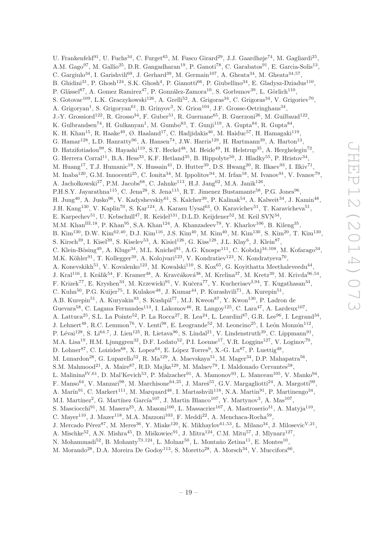U. Frankenfeld<sup>91</sup>, U. Fuchs<sup>34</sup>, C. Furget<sup>65</sup>, M. Fusco Girard<sup>29</sup>, J.J. Gaardhøje<sup>74</sup>, M. Gagliardi<sup>25</sup>, A.M. Gago<sup>97</sup>, M. Gallio<sup>25</sup>, D.R. Gangadharan<sup>19</sup>, P. Ganoti<sup>78</sup>, C. Garabatos<sup>91</sup>, E. Garcia-Solis<sup>13</sup>, C. Gargiulo<sup>34</sup>, I. Garishvili<sup>69</sup>, J. Gerhard<sup>39</sup>, M. Germain<sup>107</sup>, A. Gheata<sup>34</sup>, M. Gheata<sup>34,57</sup>, B. Ghidini<sup>31</sup>, P. Ghosh<sup>124</sup>, S.K. Ghosh<sup>4</sup>, P. Gianotti<sup>66</sup>, P. Giubellino<sup>34</sup>, E. Gladysz-Dziadus<sup>110</sup>, P. Glässel<sup>87</sup>, A. Gomez Ramirez<sup>47</sup>, P. González-Zamora<sup>10</sup>, S. Gorbunov<sup>39</sup>, L. Görlich<sup>110</sup>, S. Gotovac<sup>109</sup>, L.K. Graczykowski<sup>126</sup>, A. Grelli<sup>52</sup>, A. Grigoras<sup>34</sup>, C. Grigoras<sup>34</sup>, V. Grigoriev<sup>70</sup>, A. Grigoryan<sup>1</sup>, S. Grigoryan<sup>61</sup>, B. Grinyov<sup>3</sup>, N. Grion<sup>104</sup>, J.F. Grosse-Oetringhaus<sup>34</sup>, J.-Y. Grossiord<sup>122</sup>, R. Grosso<sup>34</sup>, F. Guber<sup>51</sup>, R. Guernane<sup>65</sup>, B. Guerzoni<sup>26</sup>, M. Guilbaud<sup>122</sup>, K. Gulbrandsen<sup>74</sup>, H. Gulkanyan<sup>1</sup>, M. Gumbo<sup>83</sup>, T. Gunji<sup>119</sup>, A. Gupta<sup>84</sup>, R. Gupta<sup>84</sup>, K. H. Khan<sup>15</sup>, R. Haake<sup>49</sup>, Ø. Haaland<sup>17</sup>, C. Hadjidakis<sup>46</sup>, M. Haiduc<sup>57</sup>, H. Hamagaki<sup>119</sup>, G. Hamar<sup>128</sup>, L.D. Hanratty<sup>96</sup>, A. Hansen<sup>74</sup>, J.W. Harris<sup>129</sup>, H. Hartmann<sup>39</sup>, A. Harton<sup>13</sup>, D. Hatzifotiadou<sup>99</sup>, S. Hayashi<sup>119</sup>, S.T. Heckel<sup>48</sup>, M. Heide<sup>49</sup>, H. Helstrup<sup>35</sup>, A. Herghelegiu<sup>72</sup>, G. Herrera Corral<sup>11</sup>, B.A. Hess<sup>33</sup>, K.F. Hetland<sup>35</sup>, B. Hippolyte<sup>50</sup>, J. Hladky<sup>55</sup>, P. Hristov<sup>34</sup>, M. Huang<sup>17</sup>, T.J. Humanic<sup>19</sup>, N. Hussain<sup>41</sup>, D. Hutter<sup>39</sup>, D.S. Hwang<sup>20</sup>, R. Ilkaev<sup>93</sup>, I. Ilkiv<sup>71</sup>, M. Inaba<sup>120</sup>, G.M. Innocenti<sup>25</sup>, C. Ionita<sup>34</sup>, M. Ippolitov<sup>94</sup>, M. Irfan<sup>18</sup>, M. Ivanov<sup>91</sup>, V. Ivanov<sup>79</sup>, A. Jachołkowski<sup>27</sup>, P.M. Jacobs<sup>68</sup>, C. Jahnke<sup>113</sup>, H.J. Jang<sup>62</sup>, M.A. Janik<sup>126</sup>, P.H.S.Y. Jayarathna<sup>115</sup>, C. Jena<sup>28</sup>, S. Jena<sup>115</sup>, R.T. Jimenez Bustamante<sup>58</sup>, P.G. Jones<sup>96</sup>, H. Jung<sup>40</sup>, A. Jusko<sup>96</sup>, V. Kadyshevskiy<sup>61</sup>, S. Kalcher<sup>39</sup>, P. Kalinak<sup>54</sup>, A. Kalweit<sup>34</sup>, J. Kamin<sup>48</sup>, J.H. Kang<sup>130</sup>, V. Kaplin<sup>70</sup>, S. Kar<sup>124</sup>, A. Karasu Uysal<sup>63</sup>, O. Karavichev<sup>51</sup>, T. Karavicheva<sup>51</sup>, E. Karpechev<sup>51</sup>, U. Kebschull<sup>47</sup>, R. Keidel<sup>131</sup>, D.L.D. Keijdener<sup>52</sup>, M. Keil SVN<sup>34</sup>, M.M. Khan<sup>III,18</sup>, P. Khan<sup>95</sup>, S.A. Khan<sup>124</sup>, A. Khanzadeev<sup>79</sup>, Y. Kharlov<sup>106</sup>, B. Kileng<sup>35</sup>, B. Kim<sup>130</sup>, D.W. Kim<sup>62,40</sup>, D.J. Kim<sup>116</sup>, J.S. Kim<sup>40</sup>, M. Kim<sup>40</sup>, M. Kim<sup>130</sup>, S. Kim<sup>20</sup>, T. Kim<sup>130</sup>, S. Kirsch<sup>39</sup>, I. Kisel<sup>39</sup>, S. Kiselev<sup>53</sup>, A. Kisiel<sup>126</sup>, G. Kiss<sup>128</sup>, J.L. Klay<sup>6</sup>, J. Klein<sup>87</sup>, C. Klein-Bösing<sup>49</sup>, A. Kluge<sup>34</sup>, M.L. Knichel<sup>91</sup>, A.G. Knospe<sup>111</sup>, C. Kobdaj<sup>34,108</sup>, M. Kofarago<sup>34</sup>, M.K. Köhler<sup>91</sup>, T. Kollegger<sup>39</sup>, A. Kolojvari<sup>123</sup>, V. Kondratiev<sup>123</sup>, N. Kondratyeva<sup>70</sup>, A. Konevskikh<sup>51</sup>, V. Kovalenko<sup>123</sup>, M. Kowalski<sup>110</sup>, S. Kox<sup>65</sup>, G. Koyithatta Meethaleveedu<sup>44</sup>, J. Kral<sup>116</sup>, I. Králik<sup>54</sup>, F. Kramer<sup>48</sup>, A. Kravčáková<sup>38</sup>, M. Krelina<sup>37</sup>, M. Kretz<sup>39</sup>, M. Krivda<sup>96,54</sup>, F. Krizek<sup>77</sup>, E. Kryshen<sup>34</sup>, M. Krzewicki<sup>91</sup>, V. Kučera<sup>77</sup>, Y. Kucheriaev<sup>I,94</sup>, T. Kugathasan<sup>34</sup>, C. Kuhn<sup>50</sup>, P.G. Kuijer<sup>75</sup>, I. Kulakov<sup>48</sup>, J. Kumar<sup>44</sup>, P. Kurashvili<sup>71</sup>, A. Kurepin<sup>51</sup>, A.B. Kurepin<sup>51</sup>, A. Kuryakin<sup>93</sup>, S. Kushpil<sup>77</sup>, M.J. Kweon<sup>87</sup>, Y. Kwon<sup>130</sup>, P. Ladron de Guevara<sup>58</sup>, C. Lagana Fernandes<sup>113</sup>, I. Lakomov<sup>46</sup>, R. Langoy<sup>125</sup>, C. Lara<sup>47</sup>, A. Lardeux<sup>107</sup>, A. Lattuca<sup>25</sup>, S.L. La Pointe<sup>52</sup>, P. La Rocca<sup>27</sup>, R. Lea<sup>24</sup>, L. Leardini<sup>87</sup>, G.R. Lee<sup>96</sup>, I. Legrand<sup>34</sup>, J. Lehnert<sup>48</sup>, R.C. Lemmon<sup>76</sup>, V. Lenti<sup>98</sup>, E. Leogrande<sup>52</sup>, M. Leoncino<sup>25</sup>, I. León Monzón<sup>112</sup>, P. Lévai<sup>128</sup>, S. Li<sup>64,7</sup>, J. Lien<sup>125</sup>, R. Lietava<sup>96</sup>, S. Lindal<sup>21</sup>, V. Lindenstruth<sup>39</sup>, C. Lippmann<sup>91</sup>, M.A. Lisa<sup>19</sup>, H.M. Ljunggren<sup>32</sup>, D.F. Lodato<sup>52</sup>, P.I. Loenne<sup>17</sup>, V.R. Loggins<sup>127</sup>, V. Loginov<sup>70</sup>, D. Lohner<sup>87</sup>, C. Loizides<sup>68</sup>, X. Lopez<sup>64</sup>, E. López Torres<sup>9</sup>, X.-G. Lu<sup>87</sup>, P. Luettig<sup>48</sup>, M. Lunardon<sup>28</sup>, G. Luparello<sup>52</sup>, R. Ma<sup>129</sup>, A. Maevskaya<sup>51</sup>, M. Mager<sup>34</sup>, D.P. Mahapatra<sup>56</sup>, S.M. Mahmood<sup>21</sup>, A. Maire<sup>87</sup>, R.D. Majka<sup>129</sup>, M. Malaev<sup>79</sup>, I. Maldonado Cervantes<sup>58</sup>, L. Malinina<sup>IV,61</sup>, D. Mal'Kevich<sup>53</sup>, P. Malzacher<sup>91</sup>, A. Mamonov<sup>93</sup>, L. Manceau<sup>105</sup>, V. Manko<sup>94</sup>, F. Manso<sup>64</sup>, V. Manzari<sup>98</sup>, M. Marchisone<sup>64,25</sup>, J. Mareš<sup>55</sup>, G.V. Margagliotti<sup>24</sup>, A. Margotti<sup>99</sup>, A. Marín<sup>91</sup>, C. Markert<sup>111</sup>, M. Marquard<sup>48</sup>, I. Martashvili<sup>118</sup>, N.A. Martin<sup>91</sup>, P. Martinengo<sup>34</sup>, M.I. Martínez<sup>2</sup>, G. Martínez García<sup>107</sup>, J. Martin Blanco<sup>107</sup>, Y. Martynov<sup>3</sup>, A. Mas<sup>107</sup>, S. Masciocchi<sup>91</sup>, M. Masera<sup>25</sup>, A. Masoni<sup>100</sup>, L. Massacrier<sup>107</sup>, A. Mastroserio<sup>31</sup>, A. Matyja<sup>110</sup>, C. Mayer<sup>110</sup>, J. Mazer<sup>118</sup>, M.A. Mazzoni<sup>103</sup>, F. Meddi<sup>22</sup>, A. Menchaca-Rocha<sup>59</sup>, J. Mercado Pérez<sup>87</sup>, M. Meres<sup>36</sup>, Y. Miake<sup>120</sup>, K. Mikhaylov<sup>61,53</sup>, L. Milano<sup>34</sup>, J. Milosevic<sup>V,21</sup>, A. Mischke<sup>52</sup>, A.N. Mishra<sup>45</sup>, D. Miśkowiec<sup>91</sup>, J. Mitra<sup>124</sup>, C.M. Mitu<sup>57</sup>, J. Mlynarz<sup>127</sup>, N. Mohammadi<sup>52</sup>, B. Mohanty<sup>73,124</sup>, L. Mohar<sup>50</sup>, L. Montaño Zetina<sup>11</sup>, E. Montes<sup>10</sup>,

M. Morando<sup>28</sup>, D.A. Moreira De Godoy<sup>113</sup>, S. Moretto<sup>28</sup>, A. Morsch<sup>34</sup>, V. Muccifora<sup>66</sup>,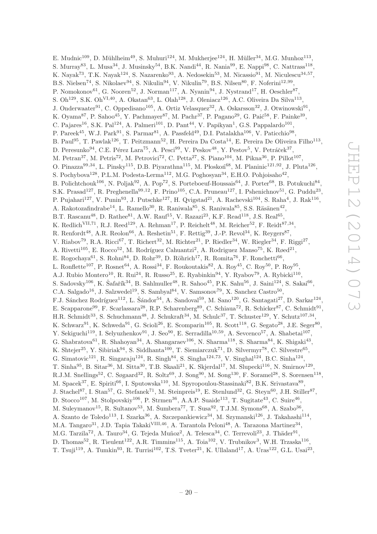E. Mudnic<sup>109</sup>, D. Mühlheim<sup>49</sup>, S. Muhuri<sup>124</sup>, M. Mukherjee<sup>124</sup>, H. Müller<sup>34</sup>, M.G. Munhoz<sup>113</sup>, S. Murray<sup>83</sup>, L. Musa<sup>34</sup>, J. Musinsky<sup>54</sup>, B.K. Nandi<sup>44</sup>, R. Nania<sup>99</sup>, E. Nappi<sup>98</sup>, C. Nattrass<sup>118</sup>, K. Nayak<sup>73</sup>, T.K. Nayak<sup>124</sup>, S. Nazarenko<sup>93</sup>, A. Nedosekin<sup>53</sup>, M. Nicassio<sup>91</sup>, M. Niculescu<sup>34,57</sup>, B.S. Nielsen<sup>74</sup>, S. Nikolaev<sup>94</sup>, S. Nikulin<sup>94</sup>, V. Nikulin<sup>79</sup>, B.S. Nilsen<sup>80</sup>, F. Noferini<sup>12,99</sup>, P. Nomokonov<sup>61</sup>, G. Nooren<sup>52</sup>, J. Norman<sup>117</sup>, A. Nyanin<sup>94</sup>, J. Nystrand<sup>17</sup>, H. Oeschler<sup>87</sup>, S. Oh<sup>129</sup>, S.K. Oh<sup>VI,40</sup>, A. Okatan<sup>63</sup>, L. Olah<sup>128</sup>, J. Oleniacz<sup>126</sup>, A.C. Oliveira Da Silva<sup>113</sup>, J. Onderwaater<sup>91</sup>, C. Oppedisano<sup>105</sup>, A. Ortiz Velasquez<sup>32</sup>, A. Oskarsson<sup>32</sup>, J. Otwinowski<sup>91</sup>, K. Oyama $^{87}$ , P. Sahoo<sup>45</sup>, Y. Pachmayer<sup>87</sup>, M. Pachr<sup>37</sup>, P. Pagano<sup>29</sup>, G. Paić<sup>58</sup>, F. Painke<sup>39</sup>, C. Pajares<sup>16</sup>, S.K. Pal<sup>124</sup>, A. Palmeri<sup>101</sup>, D. Pant<sup>44</sup>, V. Papikyan<sup>1</sup>, G.S. Pappalardo<sup>101</sup>, P. Pareek<sup>45</sup>, W.J. Park<sup>91</sup>, S. Parmar<sup>81</sup>, A. Passfeld<sup>49</sup>, D.I. Patalakha<sup>106</sup>, V. Paticchio<sup>98</sup>, B. Paul<sup>95</sup>, T. Pawlak<sup>126</sup>, T. Peitzmann<sup>52</sup>, H. Pereira Da Costa<sup>14</sup>, E. Pereira De Oliveira Filho<sup>113</sup>, D. Peresunko $^{94}$ , C.E. Pérez Lara<sup>75</sup>, A. Pesci $^{99}$ , V. Peskov $^{48}$ , Y. Pestov<sup>5</sup>, V. Petráček $^{37}$ , M. Petran<sup>37</sup>, M. Petris<sup>72</sup>, M. Petrovici<sup>72</sup>, C. Petta<sup>27</sup>, S. Piano<sup>104</sup>, M. Pikna<sup>36</sup>, P. Pillot<sup>107</sup>, O. Pinazza<sup>99,34</sup>, L. Pinsky<sup>115</sup>, D.B. Piyarathna<sup>115</sup>, M. Płoskoń<sup>68</sup>, M. Planinic<sup>121,92</sup>, J. Pluta<sup>126</sup>, S. Pochybova<sup>128</sup>, P.L.M. Podesta-Lerma<sup>112</sup>, M.G. Poghosyan<sup>34</sup>, E.H.O. Pohjoisaho<sup>42</sup>, B. Polichtchouk<sup>106</sup>, N. Poljak<sup>92</sup>, A. Pop<sup>72</sup>, S. Porteboeuf-Houssais<sup>64</sup>, J. Porter<sup>68</sup>, B. Potukuchi<sup>84</sup>, S.K. Prasad<sup>127</sup>, R. Preghenella<sup>99,12</sup>, F. Prino<sup>105</sup>, C.A. Pruneau<sup>127</sup>, I. Pshenichnov<sup>51</sup>, G. Puddu<sup>23</sup>, P. Pujahari<sup>127</sup>, V. Punin<sup>93</sup>, J. Putschke<sup>127</sup>, H. Qvigstad<sup>21</sup>, A. Rachevski<sup>104</sup>, S. Raha<sup>4</sup>, J. Rak<sup>116</sup>, A. Rakotozafindrabe<sup>14</sup>, L. Ramello<sup>30</sup>, R. Raniwala<sup>85</sup>, S. Raniwala<sup>85</sup>, S.S. Räsänen<sup>42</sup>, B.T. Rascanu<sup>48</sup>, D. Rathee<sup>81</sup>, A.W. Rauf<sup>15</sup>, V. Razazi<sup>23</sup>, K.F. Read<sup>118</sup>, J.S. Real<sup>65</sup>, K. Redlich<sup>VII,71</sup>, R.J. Reed<sup>129</sup>, A. Rehman<sup>17</sup>, P. Reichelt<sup>48</sup>, M. Reicher<sup>52</sup>, F. Reidt<sup>87,34</sup>, R. Renfordt<sup>48</sup>, A.R. Reolon<sup>66</sup>, A. Reshetin<sup>51</sup>, F. Rettig<sup>39</sup>, J.-P. Revol<sup>34</sup>, K. Reygers<sup>87</sup>, V. Riabov<sup>79</sup>, R.A. Ricci<sup>67</sup>, T. Richert<sup>32</sup>, M. Richter<sup>21</sup>, P. Riedler<sup>34</sup>, W. Riegler<sup>34</sup>, F. Riggi<sup>27</sup>, A. Rivetti<sup>105</sup>, E. Rocco<sup>52</sup>, M. Rodríguez Cahuantzi<sup>2</sup>, A. Rodriguez Manso<sup>75</sup>, K. Røed<sup>21</sup>, E. Rogochaya<sup>61</sup>, S. Rohni<sup>84</sup>, D. Rohr<sup>39</sup>, D. Röhrich<sup>17</sup>, R. Romita<sup>76</sup>, F. Ronchetti<sup>66</sup>, L. Ronflette<sup>107</sup>, P. Rosnet<sup>64</sup>, A. Rossi<sup>34</sup>, F. Roukoutakis<sup>82</sup>, A. Roy<sup>45</sup>, C. Roy<sup>50</sup>, P. Roy<sup>95</sup>, A.J. Rubio Montero<sup>10</sup>, R. Rui<sup>24</sup>, R. Russo<sup>25</sup>, E. Ryabinkin<sup>94</sup>, Y. Ryabov<sup>79</sup>, A. Rybicki<sup>110</sup>, S. Sadovsky<sup>106</sup>, K. Šafařík<sup>34</sup>, B. Sahlmuller<sup>48</sup>, R. Sahoo<sup>45</sup>, P.K. Sahu<sup>56</sup>, J. Saini<sup>124</sup>, S. Sakai<sup>66</sup>, C.A. Salgado<sup>16</sup>, J. Salzwedel<sup>19</sup>, S. Sambyal<sup>84</sup>, V. Samsonov<sup>79</sup>, X. Sanchez Castro<sup>50</sup>, F.J. Sánchez Rodríguez<sup>112</sup>, L. Šándor<sup>54</sup>, A. Sandoval<sup>59</sup>, M. Sano<sup>120</sup>, G. Santagati<sup>27</sup>, D. Sarkar<sup>124</sup>, E. Scapparone<sup>99</sup>, F. Scarlassara<sup>28</sup>, R.P. Scharenberg<sup>89</sup>, C. Schiaua<sup>72</sup>, R. Schicker<sup>87</sup>, C. Schmidt<sup>91</sup>, H.R. Schmidt<sup>33</sup>, S. Schuchmann<sup>48</sup>, J. Schukraft<sup>34</sup>, M. Schulc<sup>37</sup>, T. Schuster<sup>129</sup>, Y. Schutz<sup>107,34</sup>, K. Schwarz<sup>91</sup>, K. Schweda<sup>91</sup>, G. Scioli<sup>26</sup>, E. Scomparin<sup>105</sup>, R. Scott<sup>118</sup>, G. Segato<sup>28</sup>, J.E. Seger<sup>80</sup>, Y. Sekiguchi<sup>119</sup>, I. Selyuzhenkov<sup>91</sup>, J. Seo<sup>90</sup>, E. Serradilla<sup>10,59</sup>, A. Sevcenco<sup>57</sup>, A. Shabetai<sup>107</sup>, G. Shabratova<sup>61</sup>, R. Shahoyan<sup>34</sup>, A. Shangaraev<sup>106</sup>, N. Sharma<sup>118</sup>, S. Sharma<sup>84</sup>, K. Shigaki<sup>43</sup>, K. Shtejer<sup>25</sup>, Y. Sibiriak<sup>94</sup>, S. Siddhanta<sup>100</sup>, T. Siemiarczuk<sup>71</sup>, D. Silvermyr<sup>78</sup>, C. Silvestre<sup>65</sup>, G. Simatovic<sup>121</sup>, R. Singaraju<sup>124</sup>, R. Singh<sup>84</sup>, S. Singha<sup>124,73</sup>, V. Singhal<sup>124</sup>, B.C. Sinha<sup>124</sup>, T. Sinha<sup>95</sup>, B. Sitar<sup>36</sup>, M. Sitta<sup>30</sup>, T.B. Skaali<sup>21</sup>, K. Skjerdal<sup>17</sup>, M. Slupecki<sup>116</sup>, N. Smirnov<sup>129</sup>, R.J.M. Snellings<sup>52</sup>, C. Søgaard<sup>32</sup>, R. Soltz<sup>69</sup>, J. Song<sup>90</sup>, M. Song<sup>130</sup>, F. Soramel<sup>28</sup>, S. Sorensen<sup>118</sup>, M. Spacek<sup>37</sup>, E. Spiriti<sup>66</sup>, I. Sputowska<sup>110</sup>, M. Spyropoulou-Stassinaki<sup>82</sup>, B.K. Srivastava<sup>89</sup>, J. Stachel<sup>87</sup>, I. Stan<sup>57</sup>, G. Stefanek<sup>71</sup>, M. Steinpreis<sup>19</sup>, E. Stenlund<sup>32</sup>, G. Steyn<sup>60</sup>, J.H. Stiller<sup>87</sup>, D. Stocco<sup>107</sup>, M. Stolpovskiy<sup>106</sup>, P. Strmen<sup>36</sup>, A.A.P. Suaide<sup>113</sup>, T. Sugitate<sup>43</sup>, C. Suire<sup>46</sup>, M. Suleymanov<sup>15</sup>, R. Sultanov<sup>53</sup>, M. Šumbera<sup>77</sup>, T. Susa<sup>92</sup>, T.J.M. Symons<sup>68</sup>, A. Szabo<sup>36</sup>, A. Szanto de Toledo<sup>113</sup>, I. Szarka<sup>36</sup>, A. Szczepankiewicz<sup>34</sup>, M. Szymanski<sup>126</sup>, J. Takahashi<sup>114</sup>, M.A. Tangaro<sup>31</sup>, J.D. Tapia Takaki<sup>VIII,46</sup>, A. Tarantola Peloni<sup>48</sup>, A. Tarazona Martinez<sup>34</sup>, M.G. Tarzila<sup>72</sup>, A. Tauro<sup>34</sup>, G. Tejeda Muñoz<sup>2</sup>, A. Telesca<sup>34</sup>, C. Terrevoli<sup>23</sup>, J. Thäder<sup>91</sup>, D. Thomas<sup>52</sup>, R. Tieulent<sup>122</sup>, A.R. Timmins<sup>115</sup>, A. Toia<sup>102</sup>, V. Trubnikov<sup>3</sup>, W.H. Trzaska<sup>116</sup>,

T. Tsuji<sup>119</sup>, A. Tumkin<sup>93</sup>, R. Turrisi<sup>102</sup>, T.S. Tveter<sup>21</sup>, K. Ullaland<sup>17</sup>, A. Uras<sup>122</sup>, G.L. Usai<sup>23</sup>,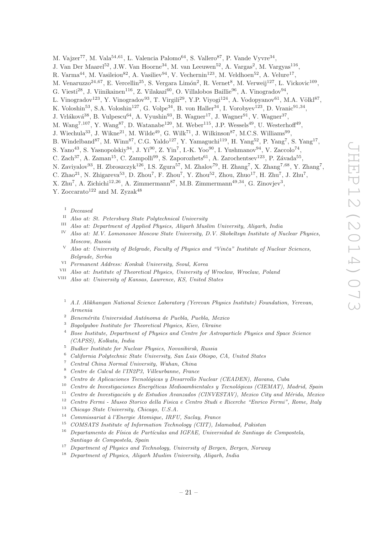- M. Vajzer<sup>77</sup>, M. Vala<sup>54,61</sup>, L. Valencia Palomo<sup>64</sup>, S. Vallero<sup>87</sup>, P. Vande Vyvre<sup>34</sup>,
- J. Van Der Maarel<sup>52</sup>, J.W. Van Hoorne<sup>34</sup>, M. van Leeuwen<sup>52</sup>, A. Vargas<sup>2</sup>, M. Vargyas<sup>116</sup>,
- R. Varma<sup>44</sup>, M. Vasileiou<sup>82</sup>, A. Vasiliev<sup>94</sup>, V. Vechernin<sup>123</sup>, M. Veldhoen<sup>52</sup>, A. Velure<sup>17</sup>,
- M. Venaruzzo<sup>24,67</sup>, E. Vercellin<sup>25</sup>, S. Vergara Limón<sup>2</sup>, R. Vernet<sup>8</sup>, M. Verweij<sup>127</sup>, L. Vickovic<sup>109</sup>,
- G. Viesti<sup>28</sup>, J. Viinikainen<sup>116</sup>, Z. Vilakazi<sup>60</sup>, O. Villalobos Baillie<sup>96</sup>, A. Vinogradov<sup>94</sup>,
- L. Vinogradov<sup>123</sup>, Y. Vinogradov<sup>93</sup>, T. Virgili<sup>29</sup>, Y.P. Viyogi<sup>124</sup>, A. Vodopyanov<sup>61</sup>, M.A. Völkl<sup>87</sup>,
- K. Voloshin<sup>53</sup>, S.A. Voloshin<sup>127</sup>, G. Volpe<sup>34</sup>, B. von Haller<sup>34</sup>, I. Vorobyev<sup>123</sup>, D. Vranic<sup>91,34</sup>,
- J. Vrláková<sup>38</sup>, B. Vulpescu<sup>64</sup>, A. Vyushin<sup>93</sup>, B. Wagner<sup>17</sup>, J. Wagner<sup>91</sup>, V. Wagner<sup>37</sup>,
- M. Wang<sup>7,107</sup>, Y. Wang<sup>87</sup>, D. Watanabe<sup>120</sup>, M. Weber<sup>115</sup>, J.P. Wessels<sup>49</sup>, U. Westerhoff<sup>49</sup>,
- J. Wiechula<sup>33</sup>, J. Wikne<sup>21</sup>, M. Wilde<sup>49</sup>, G. Wilk<sup>71</sup>, J. Wilkinson<sup>87</sup>, M.C.S. Williams<sup>99</sup>,
- B. Windelband<sup>87</sup>, M. Winn<sup>87</sup>, C.G. Yaldo<sup>127</sup>, Y. Yamaguchi<sup>119</sup>, H. Yang<sup>52</sup>, P. Yang<sup>7</sup>, S. Yang<sup>17</sup>,
- S. Yano<sup>43</sup>, S. Yasnopolskiy<sup>94</sup>, J. Yi<sup>90</sup>, Z. Yin<sup>7</sup>, I.-K. Yoo<sup>90</sup>, I. Yushmanov<sup>94</sup>, V. Zaccolo<sup>74</sup>,
- C. Zach<sup>37</sup>, A. Zaman<sup>15</sup>, C. Zampolli<sup>99</sup>, S. Zaporozhets<sup>61</sup>, A. Zarochentsev<sup>123</sup>, P. Závada<sup>55</sup>,
- N. Zaviyalov<sup>93</sup>, H. Zbroszczyk<sup>126</sup>, I.S. Zgura<sup>57</sup>, M. Zhalov<sup>79</sup>, H. Zhang<sup>7</sup>, X. Zhang<sup>7,68</sup>, Y. Zhang<sup>7</sup>,
- C. Zhao<sup>21</sup>, N. Zhigareva<sup>53</sup>, D. Zhou<sup>7</sup>, F. Zhou<sup>7</sup>, Y. Zhou<sup>52</sup>, Zhou, Zhuo<sup>17</sup>, H. Zhu<sup>7</sup>, J. Zhu<sup>7</sup>,
- X. Zhu<sup>7</sup>, A. Zichichi<sup>12,26</sup>, A. Zimmermann<sup>87</sup>, M.B. Zimmermann<sup>49,34</sup>, G. Zinovjev<sup>3</sup>,

Y. Zoccarato<sup>122</sup> and M. Zyzak<sup>48</sup>

<sup>I</sup> *Deceased*

- II *Also at: St. Petersburg State Polytechnical University*
- III *Also at: Department of Applied Physics, Aligarh Muslim University, Aligarh, India*
- IV *Also at: M.V. Lomonosov Moscow State University, D.V. Skobeltsyn Institute of Nuclear Physics, Moscow, Russia*
- <sup>V</sup> *Also at: University of Belgrade, Faculty of Physics and "Vinˇca" Institute of Nuclear Sciences, Belgrade, Serbia*
- VI *Permanent Address: Konkuk University, Seoul, Korea*
- VII *Also at: Institute of Theoretical Physics, University of Wroclaw, Wroclaw, Poland*
- VIII *Also at: University of Kansas, Lawrence, KS, United States*
	- <sup>1</sup> *A.I. Alikhanyan National Science Laboratory (Yerevan Physics Institute) Foundation, Yerevan, Armenia*
	- <sup>2</sup> *Benem´erita Universidad Aut´onoma de Puebla, Puebla, Mexico*
	- <sup>3</sup> *Bogolyubov Institute for Theoretical Physics, Kiev, Ukraine*
	- <sup>4</sup> *Bose Institute, Department of Physics and Centre for Astroparticle Physics and Space Science (CAPSS), Kolkata, India*
	- <sup>5</sup> *Budker Institute for Nuclear Physics, Novosibirsk, Russia*
	- <sup>6</sup> *California Polytechnic State University, San Luis Obispo, CA, United States*
	- <sup>7</sup> *Central China Normal University, Wuhan, China*
	- <sup>8</sup> *Centre de Calcul de l'IN2P3, Villeurbanne, France*
	- <sup>9</sup> *Centro de Aplicaciones Tecnol´ogicas y Desarrollo Nuclear (CEADEN), Havana, Cuba*
	- <sup>10</sup> *Centro de Investigaciones Energéticas Medioambientales y Tecnológicas (CIEMAT), Madrid, Spain*<br><sup>11</sup> Centro de Investigación y de Estudios Avanzados (CINVESTAV), Mexico City and México Mexico
	- <sup>11</sup> *Centro de Investigación y de Estudios Avanzados (CINVESTAV), Mexico City and Mérida, Mexico*<br><sup>12</sup> Centro Ermii Mexico Chaise delle Eisier e Centro Chalis e Bisanta "Ermii", Pamer Hele
	- <sup>12</sup> *Centro Fermi Museo Storico della Fisica e Centro Studi e Ricerche "Enrico Fermi", Rome, Italy*
- <sup>13</sup> *Chicago State University, Chicago, U.S.A.*
- <sup>14</sup> *Commissariat `a l'Energie Atomique, IRFU, Saclay, France*
- <sup>15</sup> *COMSATS Institute of Information Technology (CIIT), Islamabad, Pakistan*
- <sup>16</sup> Departamento de Física de Partículas and IGFAE, Universidad de Santiago de Compostela, *Santiago de Compostela, Spain*
- <sup>17</sup> *Department of Physics and Technology, University of Bergen, Bergen, Norway*
- <sup>18</sup> *Department of Physics, Aligarh Muslim University, Aligarh, India*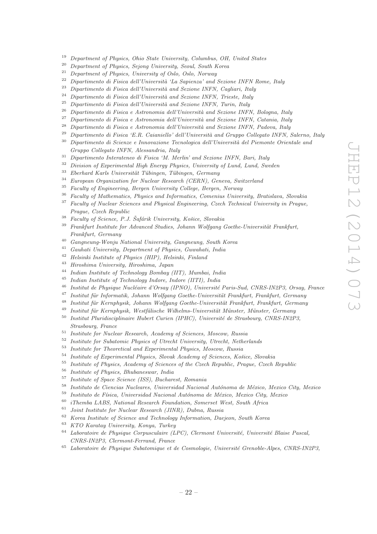- <sup>19</sup> *Department of Physics, Ohio State University, Columbus, OH, United States*
- <sup>20</sup> *Department of Physics, Sejong University, Seoul, South Korea*
- <sup>21</sup> *Department of Physics, University of Oslo, Oslo, Norway*
- <sup>22</sup> *Dipartimento di Fisica dell'Università 'La Sapienza' and Sezione INFN Rome, Italy*<br><sup>23</sup> Pinartimento di Fisica dell'Università and Sezione INFN Carlinei Italia
- <sup>23</sup> Dipartimento di Fisica dell'Università and Sezione INFN, Cagliari, Italy<br><sup>24</sup> Diventionale di Fisica dell'Università and Sexione INFN, Triatte Italy
- <sup>24</sup> *Dipartimento di Fisica dell'Università and Sezione INFN, Trieste, Italy*<br><sup>25</sup> *Dinominenta di Fisica dell'Università and Seriene INFN, Turin, Italy*
- <sup>25</sup> *Dipartimento di Fisica dell'Universit`a and Sezione INFN, Turin, Italy*
- <sup>26</sup> *Dipartimento di Fisica e Astronomia dell'Università and Sezione INFN, Bologna, Italy*
- <sup>27</sup> Dipartimento di Fisica e Astronomia dell'Università and Sezione INFN, Catania, Italy
- <sup>28</sup> *Dipartimento di Fisica e Astronomia dell'Università and Sezione INFN, Padova, Italy*
- <sup>29</sup> *Dipartimento di Fisica 'E.R. Caianiello' dell'Università and Gruppo Collegato INFN, Salerno, Italy*<br><sup>30</sup> Dipartimente di Science e Inneueriene Teorglesies dell'Università del Biomente Opientele and
- <sup>30</sup> *Dipartimento di Scienze e Innovazione Tecnologica dell'Universit`a del Piemonte Orientale and Gruppo Collegato INFN, Alessandria, Italy*
- <sup>31</sup> *Dipartimento Interateneo di Fisica 'M. Merlin' and Sezione INFN, Bari, Italy*
- <sup>32</sup> *Division of Experimental High Energy Physics, University of Lund, Lund, Sweden*
- <sup>33</sup> *Eberhard Karls Universität Tübingen, Tübingen, Germany*<br><sup>34</sup> European Quanjutien for Nadam Bernard (GEPM) Gu
- <sup>34</sup> *European Organization for Nuclear Research (CERN), Geneva, Switzerland*
- <sup>35</sup> *Faculty of Engineering, Bergen University College, Bergen, Norway*
- <sup>36</sup> *Faculty of Mathematics, Physics and Informatics, Comenius University, Bratislava, Slovakia*
- <sup>37</sup> *Faculty of Nuclear Sciences and Physical Engineering, Czech Technical University in Prague, Prague, Czech Republic*
- <sup>38</sup> *Faculty of Science, P.J. Šafárik University, Košice, Slovakia*
- <sup>39</sup> Frankfurt Institute for Advanced Studies, Johann Wolfgang Goethe-Universität Frankfurt, *Frankfurt, Germany*
- <sup>40</sup> *Gangneung-Wonju National University, Gangneung, South Korea*
- <sup>41</sup> *Gauhati University, Department of Physics, Guwahati, India*
- <sup>42</sup> *Helsinki Institute of Physics (HIP), Helsinki, Finland*
- <sup>43</sup> *Hiroshima University, Hiroshima, Japan*
- <sup>44</sup> *Indian Institute of Technology Bombay (IIT), Mumbai, India*
- <sup>45</sup> *Indian Institute of Technology Indore, Indore (IITI), India*
- <sup>46</sup> Institut de Physique Nucléaire d'Orsay (IPNO), Université Paris-Sud, CNRS-IN2P3, Orsay, France
- <sup>47</sup> Institut für Informatik, Johann Wolfgang Goethe-Universität Frankfurt, Frankfurt, Germany
- <sup>48</sup> *Institut f¨ur Kernphysik, Johann Wolfgang Goethe-Universit¨at Frankfurt, Frankfurt, Germany*
- <sup>49</sup> Institut für Kernphysik, Westfälische Wilhelms-Universität Münster, Münster, Germany
- <sup>50</sup> Institut Pluridisciplinaire Hubert Curien (IPHC), Université de Strasbourg, CNRS-IN2P3, *Strasbourg, France*
- <sup>51</sup> *Institute for Nuclear Research, Academy of Sciences, Moscow, Russia*
- <sup>52</sup> *Institute for Subatomic Physics of Utrecht University, Utrecht, Netherlands*
- <sup>53</sup> *Institute for Theoretical and Experimental Physics, Moscow, Russia*
- <sup>54</sup> *Institute of Experimental Physics, Slovak Academy of Sciences, Košice, Slovakia*<br><sup>55</sup> *Institute of Physics, Academy of Sciences of the Czech Benyhlic, Prague, Czech*
- <sup>55</sup> *Institute of Physics, Academy of Sciences of the Czech Republic, Prague, Czech Republic*
- <sup>56</sup> *Institute of Physics, Bhubaneswar, India*
- <sup>57</sup> *Institute of Space Science (ISS), Bucharest, Romania*
- <sup>58</sup> *Instituto de Ciencias Nucleares, Universidad Nacional Aut´onoma de M´exico, Mexico City, Mexico*
- <sup>59</sup> Instituto de Física, Universidad Nacional Autónoma de México, Mexico City, Mexico<br><sup>60</sup> illiardo La Michael Descendo Francisco Convertible Carth Africa
- <sup>60</sup> *iThemba LABS, National Research Foundation, Somerset West, South Africa*
- <sup>61</sup> *Joint Institute for Nuclear Research (JINR), Dubna, Russia*
- <sup>62</sup> *Korea Institute of Science and Technology Information, Daejeon, South Korea*
- <sup>63</sup> *KTO Karatay University, Konya, Turkey*
- <sup>64</sup> Laboratoire de Physique Corpusculaire (LPC), Clermont Université, Université Blaise Pascal, *CNRS-IN2P3, Clermont-Ferrand, France*
- <sup>65</sup> Laboratoire de Physique Subatomique et de Cosmologie, Université Grenoble-Alpes, CNRS-IN2P3,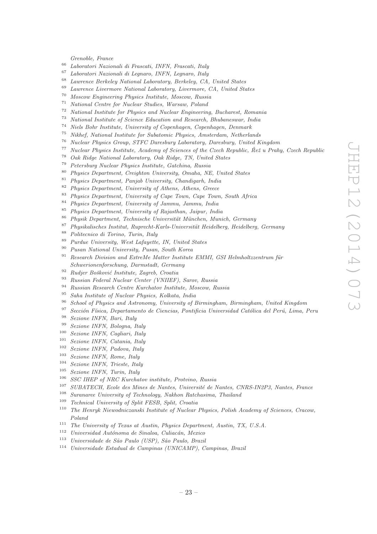*Grenoble, France*

- *Laboratori Nazionali di Frascati, INFN, Frascati, Italy*
- *Laboratori Nazionali di Legnaro, INFN, Legnaro, Italy*
- *Lawrence Berkeley National Laboratory, Berkeley, CA, United States*
- *Lawrence Livermore National Laboratory, Livermore, CA, United States*
- *Moscow Engineering Physics Institute, Moscow, Russia*
- *National Centre for Nuclear Studies, Warsaw, Poland*
- *National Institute for Physics and Nuclear Engineering, Bucharest, Romania*
- *National Institute of Science Education and Research, Bhubaneswar, India*
- *Niels Bohr Institute, University of Copenhagen, Copenhagen, Denmark*
- *Nikhef, National Institute for Subatomic Physics, Amsterdam, Netherlands*
- *Nuclear Physics Group, STFC Daresbury Laboratory, Daresbury, United Kingdom*
- *Nuclear Physics Institute, Academy of Sciences of the Czech Republic, Reˇz u Prahy, Czech Republic ˇ*
- *Oak Ridge National Laboratory, Oak Ridge, TN, United States*
- *Petersburg Nuclear Physics Institute, Gatchina, Russia*
- *Physics Department, Creighton University, Omaha, NE, United States*
- *Physics Department, Panjab University, Chandigarh, India*
- *Physics Department, University of Athens, Athens, Greece*
- *Physics Department, University of Cape Town, Cape Town, South Africa*
- *Physics Department, University of Jammu, Jammu, India*
- *Physics Department, University of Rajasthan, Jaipur, India*
- <sup>86</sup> Physik Department, Technische Universität München, Munich, Germany
- <sup>87</sup> Physikalisches Institut, Ruprecht-Karls-Universität Heidelberg, Heidelberg, Germany
- *Politecnico di Torino, Turin, Italy*
- *Purdue University, West Lafayette, IN, United States*
- *Pusan National University, Pusan, South Korea*
- <sup>91</sup> Research Division and ExtreMe Matter Institute EMMI, GSI Helmholtzzentrum für *Schwerionenforschung, Darmstadt, Germany*
- <sup>92</sup> *Rudjer Bošković Institute, Zagreb, Croatia*<br><sup>93</sup> Particle Federal Nuclear Center (*UNIIEE*)
- *Russian Federal Nuclear Center (VNIIEF), Sarov, Russia*
- *Russian Research Centre Kurchatov Institute, Moscow, Russia*
- *Saha Institute of Nuclear Physics, Kolkata, India*
- *School of Physics and Astronomy, University of Birmingham, Birmingham, United Kingdom*
- <sup>97</sup> Sección Física, Departamento de Ciencias, Pontificia Universidad Católica del Perú, Lima, Peru
- *Sezione INFN, Bari, Italy*
- *Sezione INFN, Bologna, Italy*
- *Sezione INFN, Cagliari, Italy*
- *Sezione INFN, Catania, Italy*
- *Sezione INFN, Padova, Italy*
- *Sezione INFN, Rome, Italy*
- *Sezione INFN, Trieste, Italy*
- *Sezione INFN, Turin, Italy*
- *SSC IHEP of NRC Kurchatov institute, Protvino, Russia*
- <sup>107</sup> *SUBATECH, Ecole des Mines de Nantes, Université de Nantes, CNRS-IN2P3, Nantes, France*<br><sup>108</sup> Summaries University of Technology, Nobben Batchaeima, Theiland
- *Suranaree University of Technology, Nakhon Ratchasima, Thailand*
- *Technical University of Split FESB, Split, Croatia*
- *The Henryk Niewodniczanski Institute of Nuclear Physics, Polish Academy of Sciences, Cracow, Poland*
- *The University of Texas at Austin, Physics Department, Austin, TX, U.S.A.*
- <sup>112</sup> *Universidad Autónoma de Sinaloa, Culiacán, Mexico*
- *Universidade de S˜ao Paulo (USP), S˜ao Paulo, Brazil*
- *Universidade Estadual de Campinas (UNICAMP), Campinas, Brazil*